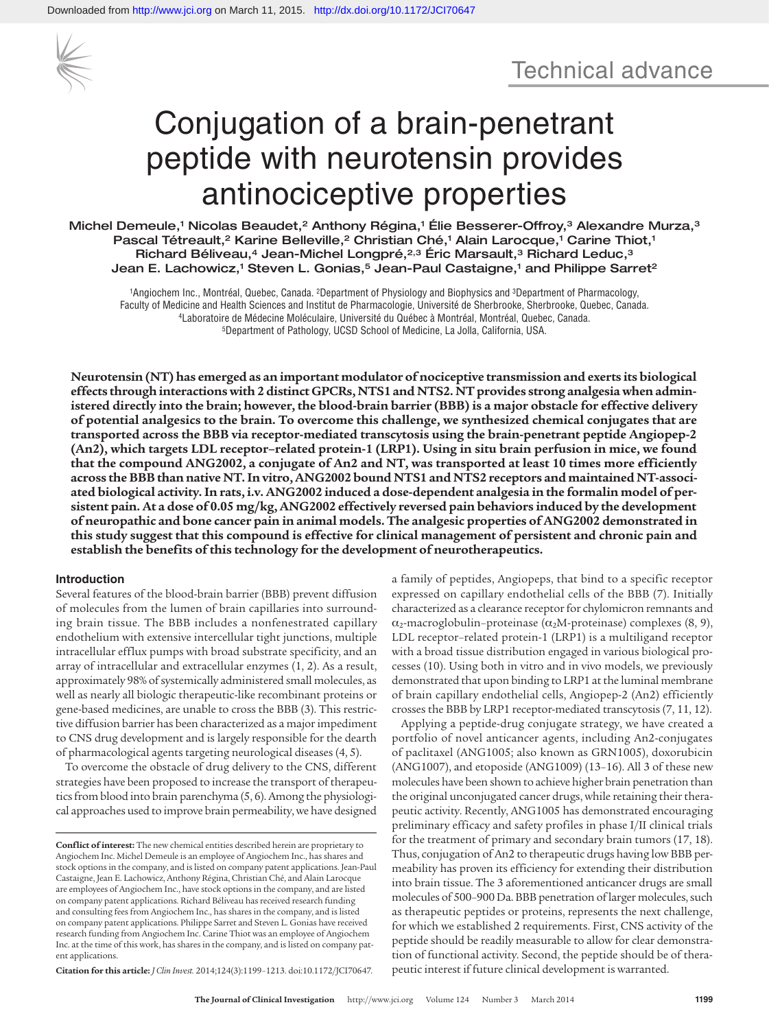

# Conjugation of a brain-penetrant peptide with neurotensin provides antinociceptive properties

Michel Demeule,<sup>1</sup> Nicolas Beaudet,<sup>2</sup> Anthony Régina,<sup>1</sup> Élie Besserer-Offroy,<sup>3</sup> Alexandre Murza,<sup>3</sup> Pascal Tétreault,<sup>2</sup> Karine Belleville,<sup>2</sup> Christian Ché,<sup>1</sup> Alain Larocque,<sup>1</sup> Carine Thiot,<sup>1</sup> Richard Béliveau,<sup>4</sup> Jean-Michel Longpré,<sup>2,3</sup> Éric Marsault,<sup>3</sup> Richard Leduc,<sup>3</sup> Jean E. Lachowicz,<sup>1</sup> Steven L. Gonias,<sup>5</sup> Jean-Paul Castaigne,<sup>1</sup> and Philippe Sarret<sup>2</sup>

1Angiochem Inc., Montréal, Quebec, Canada. 2Department of Physiology and Biophysics and 3Department of Pharmacology, Faculty of Medicine and Health Sciences and Institut de Pharmacologie, Université de Sherbrooke, Sherbrooke, Quebec, Canada.<br>4Laboratoire de Médecine Moléculaire, Université du Québec à Montréal, Montréal, Quebec, Canada.<br>

**Neurotensin (NT) has emerged as an important modulator of nociceptive transmission and exerts its biological effects through interactions with 2 distinct GPCRs, NTS1 and NTS2. NT provides strong analgesia when administered directly into the brain; however, the blood-brain barrier (BBB) is a major obstacle for effective delivery of potential analgesics to the brain. To overcome this challenge, we synthesized chemical conjugates that are transported across the BBB via receptor-mediated transcytosis using the brain-penetrant peptide Angiopep-2 (An2), which targets LDL receptor–related protein-1 (LRP1). Using in situ brain perfusion in mice, we found that the compound ANG2002, a conjugate of An2 and NT, was transported at least 10 times more efficiently across the BBB than native NT. In vitro, ANG2002 bound NTS1 and NTS2 receptors and maintained NT-associated biological activity. In rats, i.v. ANG2002 induced a dose-dependent analgesia in the formalin model of persistent pain. At a dose of 0.05 mg/kg, ANG2002 effectively reversed pain behaviors induced by the development of neuropathic and bone cancer pain in animal models. The analgesic properties of ANG2002 demonstrated in this study suggest that this compound is effective for clinical management of persistent and chronic pain and establish the benefits of this technology for the development of neurotherapeutics.**

#### **Introduction**

Several features of the blood-brain barrier (BBB) prevent diffusion of molecules from the lumen of brain capillaries into surrounding brain tissue. The BBB includes a nonfenestrated capillary endothelium with extensive intercellular tight junctions, multiple intracellular efflux pumps with broad substrate specificity, and an array of intracellular and extracellular enzymes (1, 2). As a result, approximately 98% of systemically administered small molecules, as well as nearly all biologic therapeutic-like recombinant proteins or gene-based medicines, are unable to cross the BBB (3). This restrictive diffusion barrier has been characterized as a major impediment to CNS drug development and is largely responsible for the dearth of pharmacological agents targeting neurological diseases (4, 5).

To overcome the obstacle of drug delivery to the CNS, different strategies have been proposed to increase the transport of therapeutics from blood into brain parenchyma (5, 6). Among the physiological approaches used to improve brain permeability, we have designed

**Citation for this article:** *J Clin Invest.* 2014;124(3):1199–1213. doi:10.1172/JCI70647.

a family of peptides, Angiopeps, that bind to a specific receptor expressed on capillary endothelial cells of the BBB (7). Initially characterized as a clearance receptor for chylomicron remnants and  $\alpha_2$ -macroglobulin–proteinase ( $\alpha_2$ M-proteinase) complexes (8, 9), LDL receptor–related protein-1 (LRP1) is a multiligand receptor with a broad tissue distribution engaged in various biological processes (10). Using both in vitro and in vivo models, we previously demonstrated that upon binding to LRP1 at the luminal membrane of brain capillary endothelial cells, Angiopep-2 (An2) efficiently crosses the BBB by LRP1 receptor-mediated transcytosis (7, 11, 12).

Applying a peptide-drug conjugate strategy, we have created a portfolio of novel anticancer agents, including An2-conjugates of paclitaxel (ANG1005; also known as GRN1005), doxorubicin (ANG1007), and etoposide (ANG1009) (13–16). All 3 of these new molecules have been shown to achieve higher brain penetration than the original unconjugated cancer drugs, while retaining their therapeutic activity. Recently, ANG1005 has demonstrated encouraging preliminary efficacy and safety profiles in phase I/II clinical trials for the treatment of primary and secondary brain tumors (17, 18). Thus, conjugation of An2 to therapeutic drugs having low BBB permeability has proven its efficiency for extending their distribution into brain tissue. The 3 aforementioned anticancer drugs are small molecules of 500–900 Da. BBB penetration of larger molecules, such as therapeutic peptides or proteins, represents the next challenge, for which we established 2 requirements. First, CNS activity of the peptide should be readily measurable to allow for clear demonstration of functional activity. Second, the peptide should be of therapeutic interest if future clinical development is warranted.

**Conflict of interest:** The new chemical entities described herein are proprietary to Angiochem Inc. Michel Demeule is an employee of Angiochem Inc., has shares and stock options in the company, and is listed on company patent applications. Jean-Paul Castaigne, Jean E. Lachowicz, Anthony Régina, Christian Ché, and Alain Larocque are employees of Angiochem Inc., have stock options in the company, and are listed on company patent applications. Richard Béliveau has received research funding and consulting fees from Angiochem Inc., has shares in the company, and is listed on company patent applications. Philippe Sarret and Steven L. Gonias have received research funding from Angiochem Inc. Carine Thiot was an employee of Angiochem Inc. at the time of this work, has shares in the company, and is listed on company patent applications.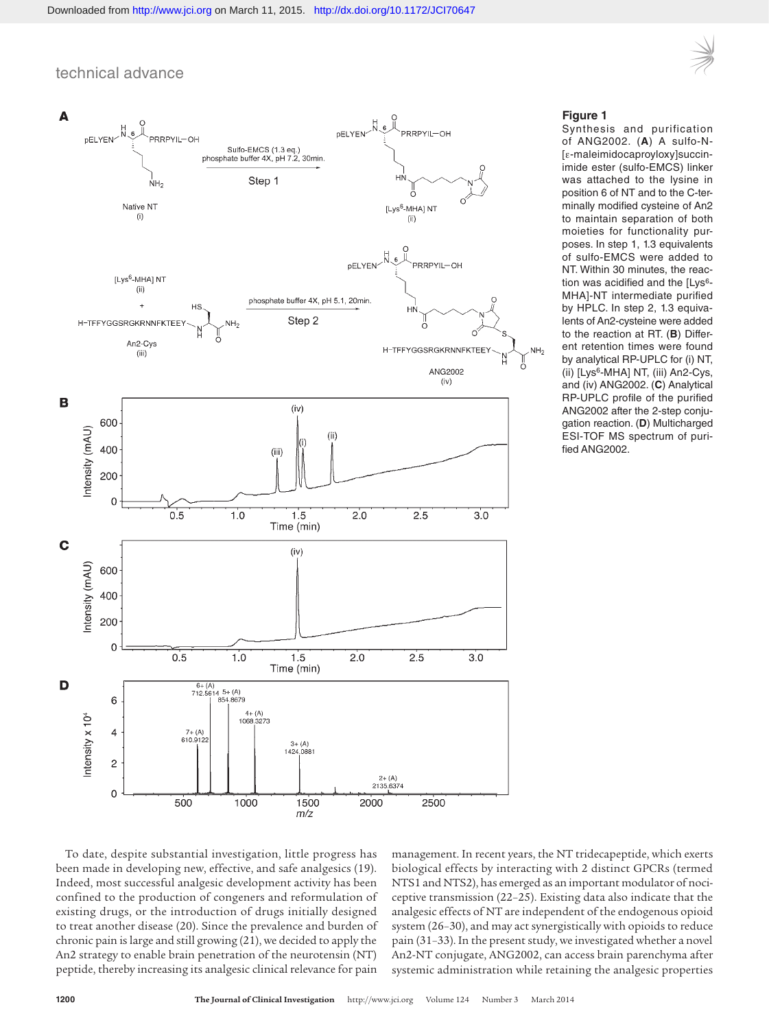



#### **Figure 1**

Synthesis and purification of ANG2002. (**A**) A sulfo-N- [ε-maleimidocaproyloxy]succinimide ester (sulfo-EMCS) linker was attached to the lysine in position 6 of NT and to the C-terminally modified cysteine of An2 to maintain separation of both moieties for functionality purposes. In step 1, 1.3 equivalents of sulfo-EMCS were added to NT. Within 30 minutes, the reaction was acidified and the [Lys<sup>6</sup>-MHA]-NT intermediate purified by HPLC. In step 2, 1.3 equivalents of An2-cysteine were added to the reaction at RT. (**B**) Different retention times were found by analytical RP-UPLC for (i) NT, (ii) [Lys6-MHA] NT, (iii) An2-Cys, and (iv) ANG2002. (**C**) Analytical RP-UPLC profile of the purified ANG2002 after the 2-step conjugation reaction. (**D**) Multicharged ESI-TOF MS spectrum of purified ANG2002.

To date, despite substantial investigation, little progress has been made in developing new, effective, and safe analgesics (19). Indeed, most successful analgesic development activity has been confined to the production of congeners and reformulation of existing drugs, or the introduction of drugs initially designed to treat another disease (20). Since the prevalence and burden of chronic pain is large and still growing (21), we decided to apply the An2 strategy to enable brain penetration of the neurotensin (NT) peptide, thereby increasing its analgesic clinical relevance for pain

management. In recent years, the NT tridecapeptide, which exerts biological effects by interacting with 2 distinct GPCRs (termed NTS1 and NTS2), has emerged as an important modulator of nociceptive transmission (22–25). Existing data also indicate that the analgesic effects of NT are independent of the endogenous opioid system (26–30), and may act synergistically with opioids to reduce pain (31–33). In the present study, we investigated whether a novel An2-NT conjugate, ANG2002, can access brain parenchyma after systemic administration while retaining the analgesic properties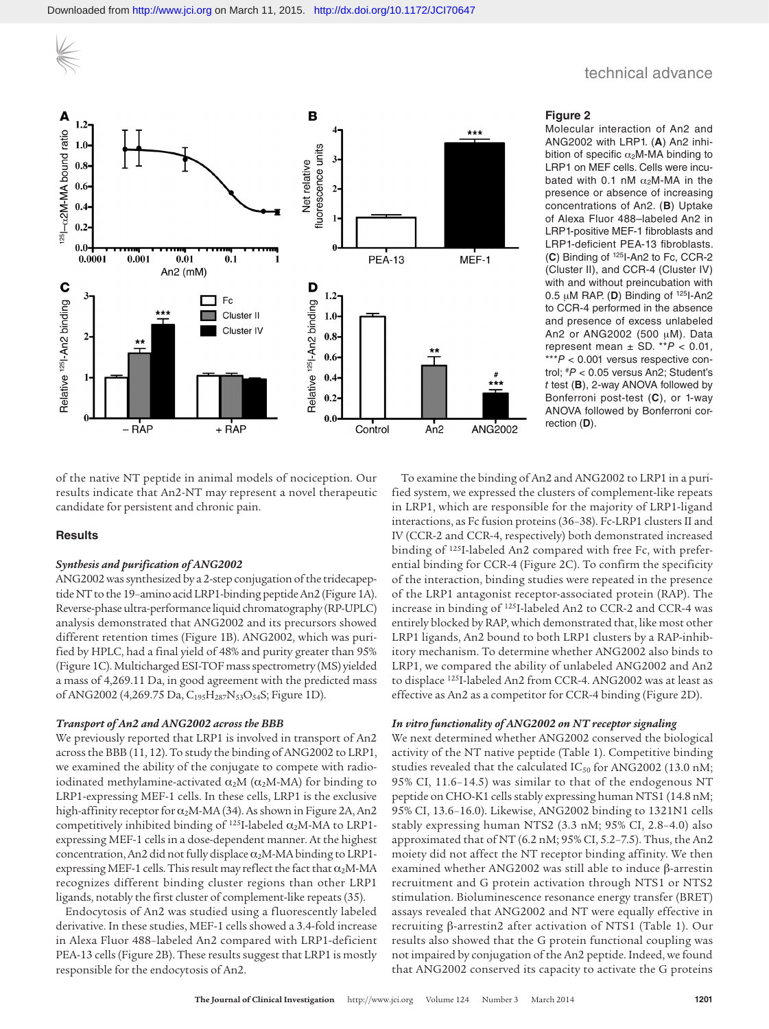#### B  $\blacksquare$  oits bound ratio  $\blacksquare$  $1.2 ***$  $0.1$ fluorescence units  $0.8 -$ Net relative  $0.6$  $2<sup>i</sup>$  $0.4$  $\mathbf{1}$  $0.2$  $0.0 0.001$  $0.0001$  $0.01$ **PEA-13** MEF-1  $0.1$ An2 $(mM)$ Relative 1251-An2 binding C Relative 1251-An2 binding **D**  $1.2 \cdot$  $Fc$ Cluster II  $1.0<sub>1</sub>$ Cluster IV  $\overline{2}$  $0.8<sup>°</sup>$  $0.6<sub>•</sub>$  $0.4$  $0.2$  $0.0$ + RAP – RAP Control  $An2$ ANG2002

# technical advance

#### **Figure 2**

Molecular interaction of An2 and ANG2002 with LRP1. (**A**) An2 inhibition of specific  $\alpha_2$ M-MA binding to LRP1 on MEF cells. Cells were incubated with 0.1 nM  $\alpha_2$ M-MA in the presence or absence of increasing concentrations of An2. (**B**) Uptake of Alexa Fluor 488–labeled An2 in LRP1-positive MEF-1 fibroblasts and LRP1-deficient PEA-13 fibroblasts. (**C**) Binding of 125I-An2 to Fc, CCR-2 (Cluster II), and CCR-4 (Cluster IV) with and without preincubation with 0.5 μM RAP. (**D**) Binding of 125I-An2 to CCR-4 performed in the absence and presence of excess unlabeled An2 or ANG2002 (500 μM). Data represent mean  $\pm$  SD. \*\* $P$  < 0.01, \*\*\**P* < 0.001 versus respective control; #*P* < 0.05 versus An2; Student's *t* test (**B**), 2-way ANOVA followed by Bonferroni post-test (**C**), or 1-way ANOVA followed by Bonferroni correction (**D**).

of the native NT peptide in animal models of nociception. Our results indicate that An2-NT may represent a novel therapeutic candidate for persistent and chronic pain.

### **Results**

#### *Synthesis and purification of ANG2002*

ANG2002 was synthesized by a 2-step conjugation of the tridecapeptide NT to the 19–amino acid LRP1-binding peptide An2 (Figure 1A). Reverse-phase ultra-performance liquid chromatography (RP-UPLC) analysis demonstrated that ANG2002 and its precursors showed different retention times (Figure 1B). ANG2002, which was purified by HPLC, had a final yield of 48% and purity greater than 95% (Figure 1C). Multicharged ESI-TOF mass spectrometry (MS) yielded a mass of 4,269.11 Da, in good agreement with the predicted mass of ANG2002 (4,269.75 Da, C<sub>195</sub>H<sub>287</sub>N<sub>53</sub>O<sub>54</sub>S; Figure 1D).

#### *Transport of An2 and ANG2002 across the BBB*

We previously reported that LRP1 is involved in transport of An2 across the BBB (11, 12). To study the binding of ANG2002 to LRP1, we examined the ability of the conjugate to compete with radioiodinated methylamine-activated  $\alpha_2M$  ( $\alpha_2M$ -MA) for binding to LRP1-expressing MEF-1 cells. In these cells, LRP1 is the exclusive high-affinity receptor for  $\alpha_2$ M-MA (34). As shown in Figure 2A, An2 competitively inhibited binding of  $^{125}$ I-labeled  $\alpha_2$ M-MA to LRP1expressing MEF-1 cells in a dose-dependent manner. At the highest concentration, An2 did not fully displace  $\alpha_2$ M-MA binding to LRP1expressing MEF-1 cells. This result may reflect the fact that  $\alpha_2$ M-MA recognizes different binding cluster regions than other LRP1 ligands, notably the first cluster of complement-like repeats (35).

Endocytosis of An2 was studied using a fluorescently labeled derivative. In these studies, MEF-1 cells showed a 3.4-fold increase in Alexa Fluor 488–labeled An2 compared with LRP1-deficient PEA-13 cells (Figure 2B). These results suggest that LRP1 is mostly responsible for the endocytosis of An2.

To examine the binding of An2 and ANG2002 to LRP1 in a purified system, we expressed the clusters of complement-like repeats in LRP1, which are responsible for the majority of LRP1-ligand interactions, as Fc fusion proteins (36–38). Fc-LRP1 clusters II and IV (CCR-2 and CCR-4, respectively) both demonstrated increased binding of 125I-labeled An2 compared with free Fc, with preferential binding for CCR-4 (Figure 2C). To confirm the specificity of the interaction, binding studies were repeated in the presence of the LRP1 antagonist receptor-associated protein (RAP). The increase in binding of 125I-labeled An2 to CCR-2 and CCR-4 was entirely blocked by RAP, which demonstrated that, like most other LRP1 ligands, An2 bound to both LRP1 clusters by a RAP-inhibitory mechanism. To determine whether ANG2002 also binds to LRP1, we compared the ability of unlabeled ANG2002 and An2 to displace 125I-labeled An2 from CCR-4. ANG2002 was at least as effective as An2 as a competitor for CCR-4 binding (Figure 2D).

#### *In vitro functionality of ANG2002 on NT receptor signaling*

We next determined whether ANG2002 conserved the biological activity of the NT native peptide (Table 1). Competitive binding studies revealed that the calculated  $IC_{50}$  for ANG2002 (13.0 nM; 95% CI, 11.6–14.5) was similar to that of the endogenous NT peptide on CHO-K1 cells stably expressing human NTS1 (14.8 nM; 95% CI, 13.6–16.0). Likewise, ANG2002 binding to 1321N1 cells stably expressing human NTS2 (3.3 nM; 95% CI, 2.8–4.0) also approximated that of NT (6.2 nM; 95% CI, 5.2–7.5). Thus, the An2 moiety did not affect the NT receptor binding affinity. We then examined whether ANG2002 was still able to induce β-arrestin recruitment and G protein activation through NTS1 or NTS2 stimulation. Bioluminescence resonance energy transfer (BRET) assays revealed that ANG2002 and NT were equally effective in recruiting β-arrestin2 after activation of NTS1 (Table 1). Our results also showed that the G protein functional coupling was not impaired by conjugation of the An2 peptide. Indeed, we found that ANG2002 conserved its capacity to activate the G proteins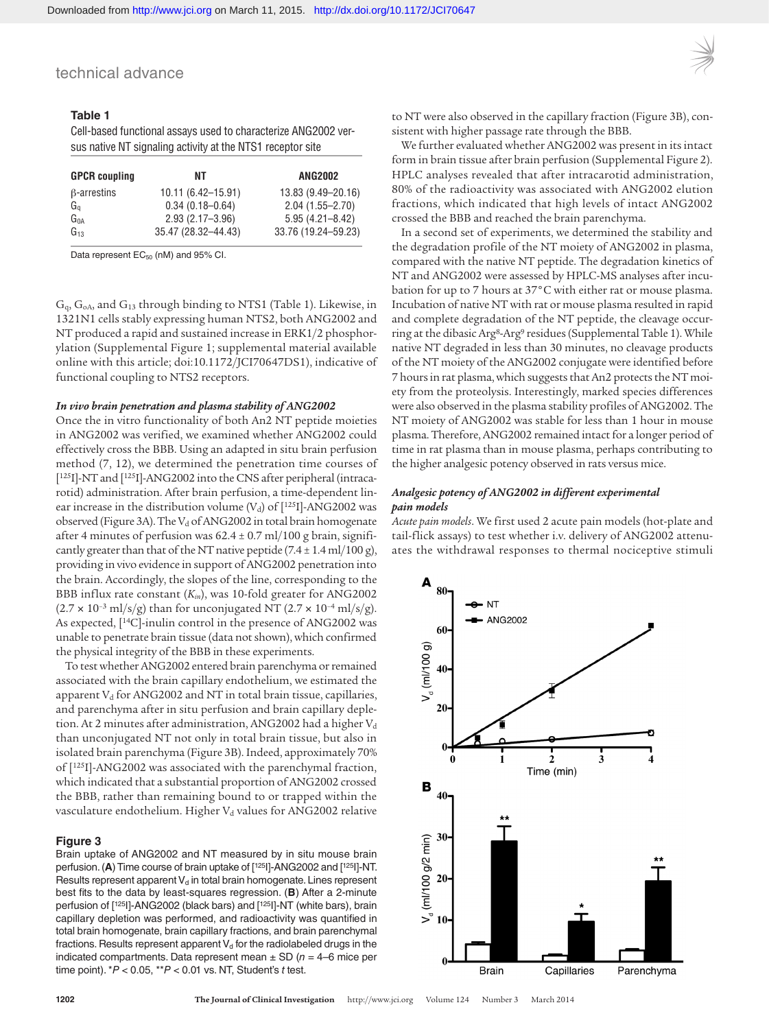# **Table 1**

Cell-based functional assays used to characterize ANG2002 versus native NT signaling activity at the NTS1 receptor site

| <b>GPCR</b> coupling | NΤ                    | <b>ANG2002</b>      |
|----------------------|-----------------------|---------------------|
| $\beta$ -arrestins   | $10.11(6.42 - 15.91)$ | 13.83 (9.49-20.16)  |
| Ga                   | $0.34(0.18 - 0.64)$   | $2.04(1.55 - 2.70)$ |
| G <sub>na</sub>      | $2.93(2.17 - 3.96)$   | $5.95(4.21 - 8.42)$ |
| $G_{13}$             | 35.47 (28.32-44.43)   | 33.76 (19.24-59.23) |

Data represent  $EC_{50}$  (nM) and 95% CI.

Gq, GoA, and G13 through binding to NTS1 (Table 1). Likewise, in 1321N1 cells stably expressing human NTS2, both ANG2002 and NT produced a rapid and sustained increase in ERK1/2 phosphorylation (Supplemental Figure 1; supplemental material available online with this article; doi:10.1172/JCI70647DS1), indicative of functional coupling to NTS2 receptors.

#### *In vivo brain penetration and plasma stability of ANG2002*

Once the in vitro functionality of both An2 NT peptide moieties in ANG2002 was verified, we examined whether ANG2002 could effectively cross the BBB. Using an adapted in situ brain perfusion method (7, 12), we determined the penetration time courses of [125]]-NT and [125]]-ANG2002 into the CNS after peripheral (intracarotid) administration. After brain perfusion, a time-dependent linear increase in the distribution volume ( $V<sub>d</sub>$ ) of [ $125$ I]-ANG2002 was observed (Figure 3A). The  $V_d$  of ANG2002 in total brain homogenate after 4 minutes of perfusion was 62.4 ± 0.7 ml/100 g brain, significantly greater than that of the NT native peptide  $(7.4 \pm 1.4 \text{ ml}/100 \text{ g})$ , providing in vivo evidence in support of ANG2002 penetration into the brain. Accordingly, the slopes of the line, corresponding to the BBB influx rate constant (*Kin*), was 10-fold greater for ANG2002  $(2.7 \times 10^{-3} \text{ ml/s/g})$  than for unconjugated NT  $(2.7 \times 10^{-4} \text{ ml/s/g})$ . As expected, [14C]-inulin control in the presence of ANG2002 was unable to penetrate brain tissue (data not shown), which confirmed the physical integrity of the BBB in these experiments.

To test whether ANG2002 entered brain parenchyma or remained associated with the brain capillary endothelium, we estimated the apparent  $V_d$  for ANG2002 and NT in total brain tissue, capillaries, and parenchyma after in situ perfusion and brain capillary depletion. At 2 minutes after administration, ANG2002 had a higher  $V_d$ than unconjugated NT not only in total brain tissue, but also in isolated brain parenchyma (Figure 3B). Indeed, approximately 70% of [125I]-ANG2002 was associated with the parenchymal fraction, which indicated that a substantial proportion of ANG2002 crossed the BBB, rather than remaining bound to or trapped within the vasculature endothelium. Higher V<sub>d</sub> values for ANG2002 relative

#### **Figure 3**

Brain uptake of ANG2002 and NT measured by in situ mouse brain perfusion. (**A**) Time course of brain uptake of [125I]-ANG2002 and [125I]-NT. Results represent apparent  $V_d$  in total brain homogenate. Lines represent best fits to the data by least-squares regression. (**B**) After a 2-minute perfusion of [125I]-ANG2002 (black bars) and [125I]-NT (white bars), brain capillary depletion was performed, and radioactivity was quantified in total brain homogenate, brain capillary fractions, and brain parenchymal fractions. Results represent apparent  $V_d$  for the radiolabeled drugs in the indicated compartments. Data represent mean  $\pm$  SD ( $n = 4$ –6 mice per time point). \**P* < 0.05, \*\**P* < 0.01 vs. NT, Student's *t* test.



to NT were also observed in the capillary fraction (Figure 3B), consistent with higher passage rate through the BBB.

We further evaluated whether ANG2002 was present in its intact form in brain tissue after brain perfusion (Supplemental Figure 2). HPLC analyses revealed that after intracarotid administration, 80% of the radioactivity was associated with ANG2002 elution fractions, which indicated that high levels of intact ANG2002 crossed the BBB and reached the brain parenchyma.

In a second set of experiments, we determined the stability and the degradation profile of the NT moiety of ANG2002 in plasma, compared with the native NT peptide. The degradation kinetics of NT and ANG2002 were assessed by HPLC-MS analyses after incubation for up to 7 hours at 37°C with either rat or mouse plasma. Incubation of native NT with rat or mouse plasma resulted in rapid and complete degradation of the NT peptide, the cleavage occurring at the dibasic Arg<sup>8</sup>-Arg<sup>9</sup> residues (Supplemental Table 1). While native NT degraded in less than 30 minutes, no cleavage products of the NT moiety of the ANG2002 conjugate were identified before 7 hours in rat plasma, which suggests that An2 protects the NT moiety from the proteolysis. Interestingly, marked species differences were also observed in the plasma stability profiles of ANG2002. The NT moiety of ANG2002 was stable for less than 1 hour in mouse plasma. Therefore, ANG2002 remained intact for a longer period of time in rat plasma than in mouse plasma, perhaps contributing to the higher analgesic potency observed in rats versus mice.

#### *Analgesic potency of ANG2002 in different experimental pain models*

*Acute pain models*. We first used 2 acute pain models (hot-plate and tail-flick assays) to test whether i.v. delivery of ANG2002 attenuates the withdrawal responses to thermal nociceptive stimuli

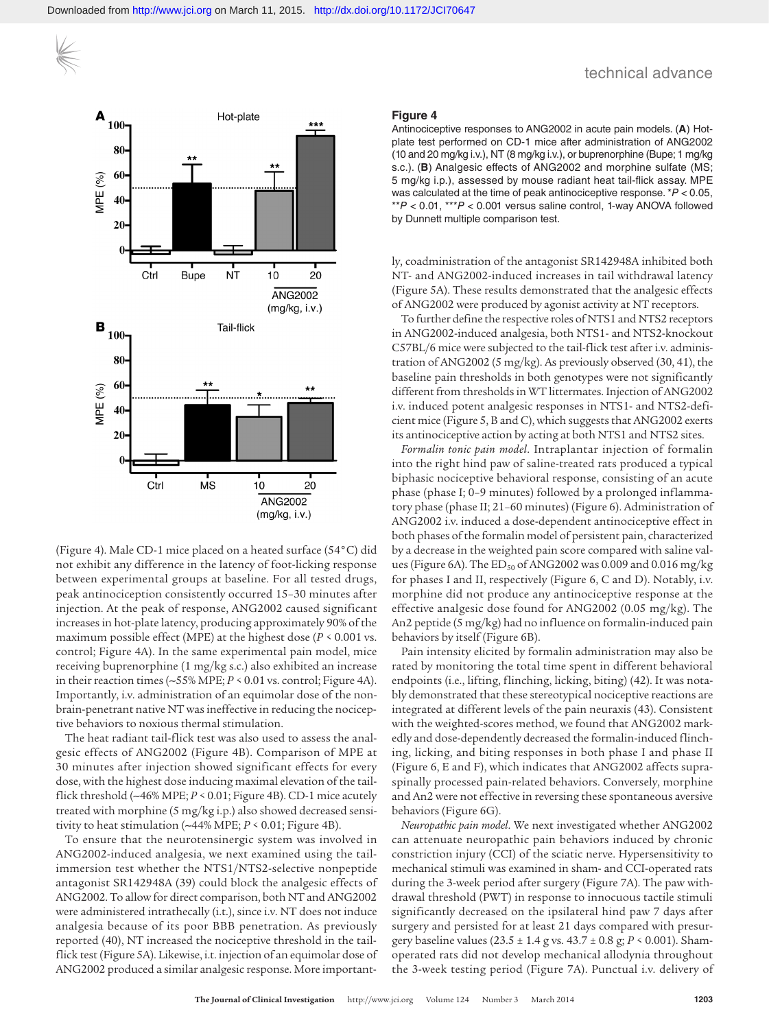

(Figure 4). Male CD-1 mice placed on a heated surface (54°C) did not exhibit any difference in the latency of foot-licking response between experimental groups at baseline. For all tested drugs, peak antinociception consistently occurred 15–30 minutes after injection. At the peak of response, ANG2002 caused significant increases in hot-plate latency, producing approximately 90% of the maximum possible effect (MPE) at the highest dose (*P* < 0.001 vs. control; Figure 4A). In the same experimental pain model, mice receiving buprenorphine (1 mg/kg s.c.) also exhibited an increase in their reaction times (∼55% MPE; *P* < 0.01 vs. control; Figure 4A). Importantly, i.v. administration of an equimolar dose of the nonbrain-penetrant native NT was ineffective in reducing the nociceptive behaviors to noxious thermal stimulation.

The heat radiant tail-flick test was also used to assess the analgesic effects of ANG2002 (Figure 4B). Comparison of MPE at 30 minutes after injection showed significant effects for every dose, with the highest dose inducing maximal elevation of the tailflick threshold (∼46% MPE; *P* < 0.01; Figure 4B). CD-1 mice acutely treated with morphine (5 mg/kg i.p.) also showed decreased sensitivity to heat stimulation (∼44% MPE; *P* < 0.01; Figure 4B).

To ensure that the neurotensinergic system was involved in ANG2002-induced analgesia, we next examined using the tailimmersion test whether the NTS1/NTS2-selective nonpeptide antagonist SR142948A (39) could block the analgesic effects of ANG2002. To allow for direct comparison, both NT and ANG2002 were administered intrathecally (i.t.), since i.v. NT does not induce analgesia because of its poor BBB penetration. As previously reported (40), NT increased the nociceptive threshold in the tailflick test (Figure 5A). Likewise, i.t. injection of an equimolar dose of ANG2002 produced a similar analgesic response. More important-

#### **Figure 4**

Antinociceptive responses to ANG2002 in acute pain models. (**A**) Hotplate test performed on CD-1 mice after administration of ANG2002 (10 and 20 mg/kg i.v.), NT (8 mg/kg i.v.), or buprenorphine (Bupe; 1 mg/kg s.c.). (**B**) Analgesic effects of ANG2002 and morphine sulfate (MS; 5 mg/kg i.p.), assessed by mouse radiant heat tail-flick assay. MPE was calculated at the time of peak antinociceptive response. \**P* < 0.05, \*\**P* < 0.01, \*\*\**P* < 0.001 versus saline control, 1-way ANOVA followed by Dunnett multiple comparison test.

ly, coadministration of the antagonist SR142948A inhibited both NT- and ANG2002-induced increases in tail withdrawal latency (Figure 5A). These results demonstrated that the analgesic effects of ANG2002 were produced by agonist activity at NT receptors.

To further define the respective roles of NTS1 and NTS2 receptors in ANG2002-induced analgesia, both NTS1- and NTS2-knockout C57BL/6 mice were subjected to the tail-flick test after i.v. administration of ANG2002 (5 mg/kg). As previously observed (30, 41), the baseline pain thresholds in both genotypes were not significantly different from thresholds in WT littermates. Injection of ANG2002 i.v. induced potent analgesic responses in NTS1- and NTS2-deficient mice (Figure 5, B and C), which suggests that ANG2002 exerts its antinociceptive action by acting at both NTS1 and NTS2 sites.

*Formalin tonic pain model*. Intraplantar injection of formalin into the right hind paw of saline-treated rats produced a typical biphasic nociceptive behavioral response, consisting of an acute phase (phase I; 0–9 minutes) followed by a prolonged inflammatory phase (phase II; 21–60 minutes) (Figure 6). Administration of ANG2002 i.v. induced a dose-dependent antinociceptive effect in both phases of the formalin model of persistent pain, characterized by a decrease in the weighted pain score compared with saline values (Figure 6A). The  $ED_{50}$  of ANG2002 was 0.009 and 0.016 mg/kg for phases I and II, respectively (Figure 6, C and D). Notably, i.v. morphine did not produce any antinociceptive response at the effective analgesic dose found for ANG2002 (0.05 mg/kg). The An2 peptide (5 mg/kg) had no influence on formalin-induced pain behaviors by itself (Figure 6B).

Pain intensity elicited by formalin administration may also be rated by monitoring the total time spent in different behavioral endpoints (i.e., lifting, flinching, licking, biting) (42). It was notably demonstrated that these stereotypical nociceptive reactions are integrated at different levels of the pain neuraxis (43). Consistent with the weighted-scores method, we found that ANG2002 markedly and dose-dependently decreased the formalin-induced flinching, licking, and biting responses in both phase I and phase II (Figure 6, E and F), which indicates that ANG2002 affects supraspinally processed pain-related behaviors. Conversely, morphine and An2 were not effective in reversing these spontaneous aversive behaviors (Figure 6G).

*Neuropathic pain model*. We next investigated whether ANG2002 can attenuate neuropathic pain behaviors induced by chronic constriction injury (CCI) of the sciatic nerve. Hypersensitivity to mechanical stimuli was examined in sham- and CCI-operated rats during the 3-week period after surgery (Figure 7A). The paw withdrawal threshold (PWT) in response to innocuous tactile stimuli significantly decreased on the ipsilateral hind paw 7 days after surgery and persisted for at least 21 days compared with presurgery baseline values (23.5 ± 1.4 g vs. 43.7 ± 0.8 g; *P* < 0.001). Shamoperated rats did not develop mechanical allodynia throughout the 3-week testing period (Figure 7A). Punctual i.v. delivery of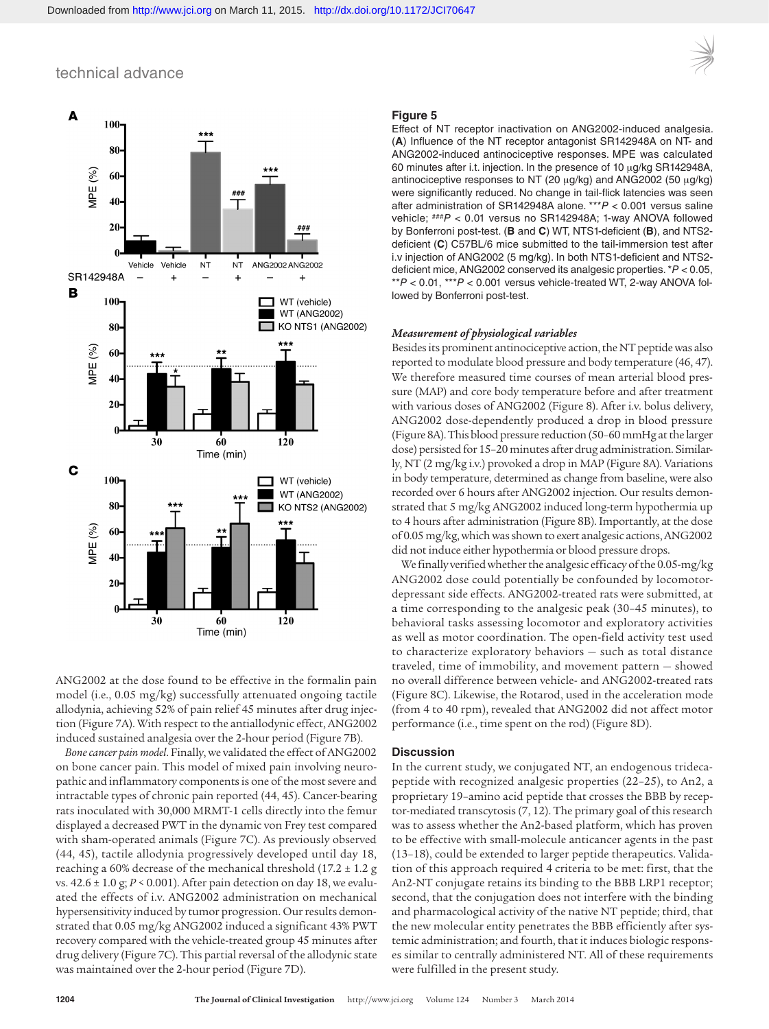

ANG2002 at the dose found to be effective in the formalin pain model (i.e., 0.05 mg/kg) successfully attenuated ongoing tactile allodynia, achieving 52% of pain relief 45 minutes after drug injection (Figure 7A). With respect to the antiallodynic effect, ANG2002 induced sustained analgesia over the 2-hour period (Figure 7B).

*Bone cancer pain model*. Finally, we validated the effect of ANG2002 on bone cancer pain. This model of mixed pain involving neuropathic and inflammatory components is one of the most severe and intractable types of chronic pain reported (44, 45). Cancer-bearing rats inoculated with 30,000 MRMT-1 cells directly into the femur displayed a decreased PWT in the dynamic von Frey test compared with sham-operated animals (Figure 7C). As previously observed (44, 45), tactile allodynia progressively developed until day 18, reaching a 60% decrease of the mechanical threshold  $(17.2 \pm 1.2$  g vs. 42.6 ± 1.0 g; *P* < 0.001). After pain detection on day 18, we evaluated the effects of i.v. ANG2002 administration on mechanical hypersensitivity induced by tumor progression. Our results demonstrated that 0.05 mg/kg ANG2002 induced a significant 43% PWT recovery compared with the vehicle-treated group 45 minutes after drug delivery (Figure 7C). This partial reversal of the allodynic state was maintained over the 2-hour period (Figure 7D).

#### **Figure 5**

Effect of NT receptor inactivation on ANG2002-induced analgesia. (**A**) Influence of the NT receptor antagonist SR142948A on NT- and ANG2002-induced antinociceptive responses. MPE was calculated 60 minutes after i.t. injection. In the presence of 10 μg/kg SR142948A, antinociceptive responses to NT (20 μg/kg) and ANG2002 (50 μg/kg) were significantly reduced. No change in tail-flick latencies was seen after administration of SR142948A alone. \*\*\**P* < 0.001 versus saline vehicle; ###*P* < 0.01 versus no SR142948A; 1-way ANOVA followed by Bonferroni post-test. (**B** and **C**) WT, NTS1-deficient (**B**), and NTS2 deficient (**C**) C57BL/6 mice submitted to the tail-immersion test after i.v injection of ANG2002 (5 mg/kg). In both NTS1-deficient and NTS2 deficient mice, ANG2002 conserved its analgesic properties. \**P* < 0.05, \*\**P* < 0.01, \*\*\**P* < 0.001 versus vehicle-treated WT, 2-way ANOVA followed by Bonferroni post-test.

#### *Measurement of physiological variables*

Besides its prominent antinociceptive action, the NT peptide was also reported to modulate blood pressure and body temperature (46, 47). We therefore measured time courses of mean arterial blood pressure (MAP) and core body temperature before and after treatment with various doses of ANG2002 (Figure 8). After i.v. bolus delivery, ANG2002 dose-dependently produced a drop in blood pressure (Figure 8A). This blood pressure reduction (50–60 mmHg at the larger dose) persisted for 15–20 minutes after drug administration. Similarly, NT (2 mg/kg i.v.) provoked a drop in MAP (Figure 8A). Variations in body temperature, determined as change from baseline, were also recorded over 6 hours after ANG2002 injection. Our results demonstrated that 5 mg/kg ANG2002 induced long-term hypothermia up to 4 hours after administration (Figure 8B). Importantly, at the dose of 0.05 mg/kg, which was shown to exert analgesic actions, ANG2002 did not induce either hypothermia or blood pressure drops.

We finally verified whether the analgesic efficacy of the 0.05-mg/kg ANG2002 dose could potentially be confounded by locomotordepressant side effects. ANG2002-treated rats were submitted, at a time corresponding to the analgesic peak (30–45 minutes), to behavioral tasks assessing locomotor and exploratory activities as well as motor coordination. The open-field activity test used to characterize exploratory behaviors — such as total distance traveled, time of immobility, and movement pattern — showed no overall difference between vehicle- and ANG2002-treated rats (Figure 8C). Likewise, the Rotarod, used in the acceleration mode (from 4 to 40 rpm), revealed that ANG2002 did not affect motor performance (i.e., time spent on the rod) (Figure 8D).

#### **Discussion**

In the current study, we conjugated NT, an endogenous tridecapeptide with recognized analgesic properties (22–25), to An2, a proprietary 19–amino acid peptide that crosses the BBB by receptor-mediated transcytosis (7, 12). The primary goal of this research was to assess whether the An2-based platform, which has proven to be effective with small-molecule anticancer agents in the past (13–18), could be extended to larger peptide therapeutics. Validation of this approach required 4 criteria to be met: first, that the An2-NT conjugate retains its binding to the BBB LRP1 receptor; second, that the conjugation does not interfere with the binding and pharmacological activity of the native NT peptide; third, that the new molecular entity penetrates the BBB efficiently after systemic administration; and fourth, that it induces biologic responses similar to centrally administered NT. All of these requirements were fulfilled in the present study.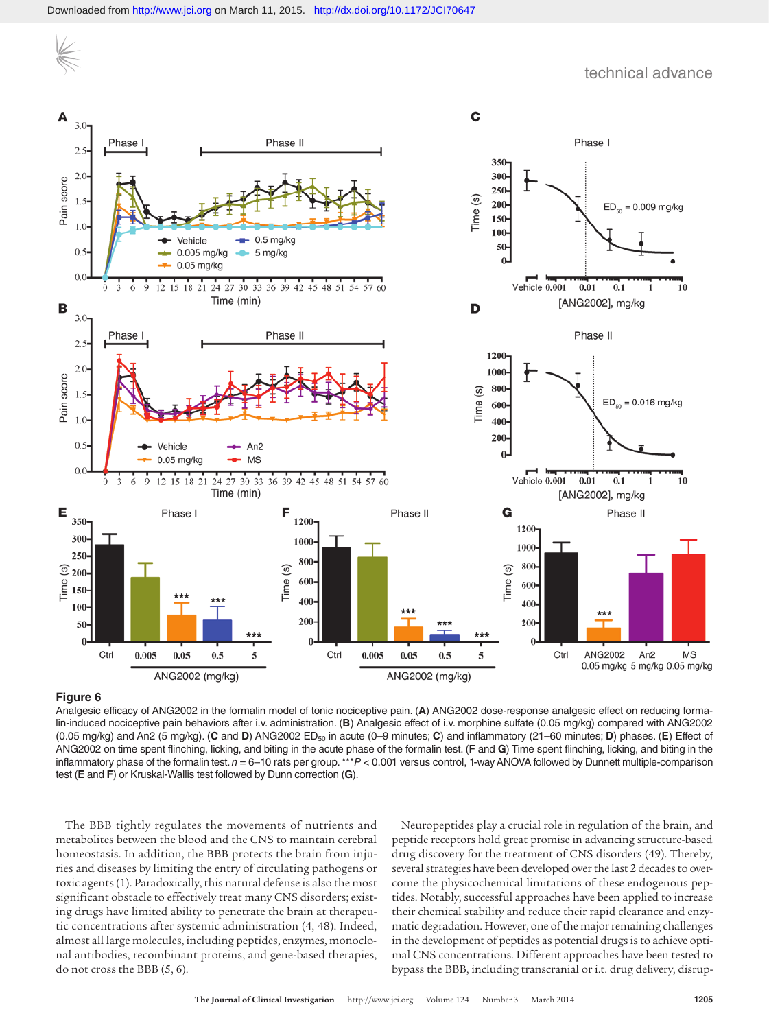

#### **Figure 6**

Analgesic efficacy of ANG2002 in the formalin model of tonic nociceptive pain. (**A**) ANG2002 dose-response analgesic effect on reducing formalin-induced nociceptive pain behaviors after i.v. administration. (**B**) Analgesic effect of i.v. morphine sulfate (0.05 mg/kg) compared with ANG2002 (0.05 mg/kg) and An2 (5 mg/kg). (**C** and **D**) ANG2002 ED50 in acute (0–9 minutes; **C**) and inflammatory (21–60 minutes; **D**) phases. (**E**) Effect of ANG2002 on time spent flinching, licking, and biting in the acute phase of the formalin test. (**F** and **G**) Time spent flinching, licking, and biting in the inflammatory phase of the formalin test. *n* = 6–10 rats per group. \*\*\**P* < 0.001 versus control, 1-way ANOVA followed by Dunnett multiple-comparison test (**E** and **F**) or Kruskal-Wallis test followed by Dunn correction (**G**).

The BBB tightly regulates the movements of nutrients and metabolites between the blood and the CNS to maintain cerebral homeostasis. In addition, the BBB protects the brain from injuries and diseases by limiting the entry of circulating pathogens or toxic agents (1). Paradoxically, this natural defense is also the most significant obstacle to effectively treat many CNS disorders; existing drugs have limited ability to penetrate the brain at therapeutic concentrations after systemic administration (4, 48). Indeed, almost all large molecules, including peptides, enzymes, monoclonal antibodies, recombinant proteins, and gene-based therapies, do not cross the BBB (5, 6).

Neuropeptides play a crucial role in regulation of the brain, and peptide receptors hold great promise in advancing structure-based drug discovery for the treatment of CNS disorders (49). Thereby, several strategies have been developed over the last 2 decades to overcome the physicochemical limitations of these endogenous peptides. Notably, successful approaches have been applied to increase their chemical stability and reduce their rapid clearance and enzymatic degradation. However, one of the major remaining challenges in the development of peptides as potential drugs is to achieve optimal CNS concentrations. Different approaches have been tested to bypass the BBB, including transcranial or i.t. drug delivery, disrup-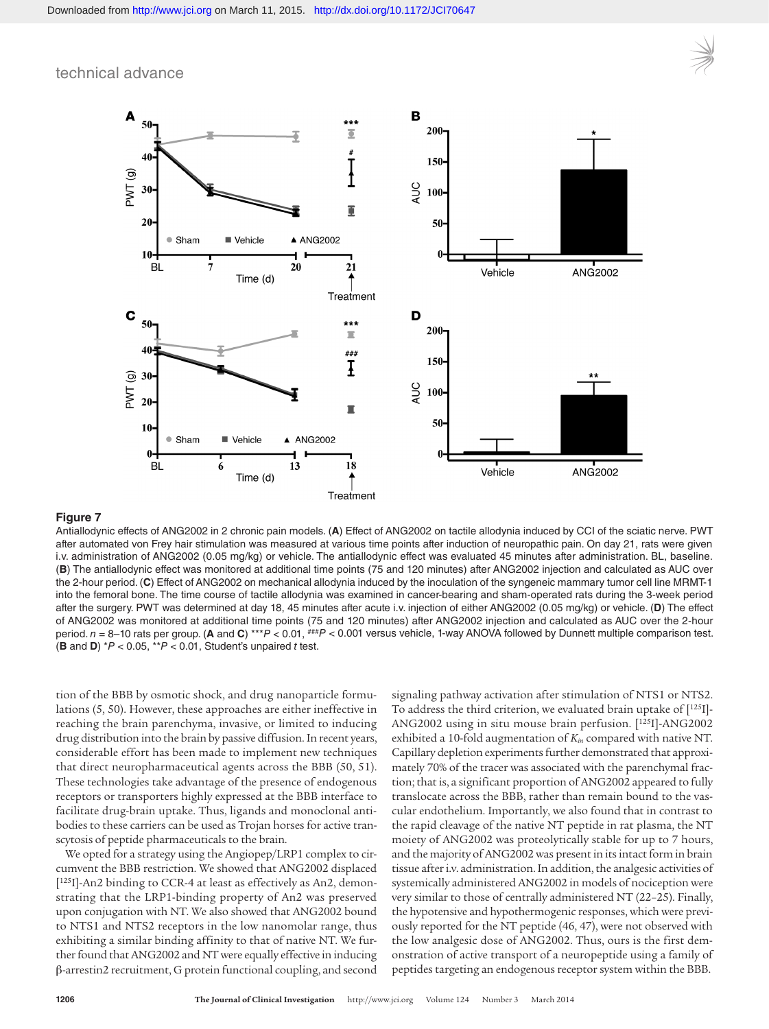

#### **Figure 7**

Antiallodynic effects of ANG2002 in 2 chronic pain models. (**A**) Effect of ANG2002 on tactile allodynia induced by CCI of the sciatic nerve. PWT after automated von Frey hair stimulation was measured at various time points after induction of neuropathic pain. On day 21, rats were given i.v. administration of ANG2002 (0.05 mg/kg) or vehicle. The antiallodynic effect was evaluated 45 minutes after administration. BL, baseline. (**B**) The antiallodynic effect was monitored at additional time points (75 and 120 minutes) after ANG2002 injection and calculated as AUC over the 2-hour period. (**C**) Effect of ANG2002 on mechanical allodynia induced by the inoculation of the syngeneic mammary tumor cell line MRMT-1 into the femoral bone. The time course of tactile allodynia was examined in cancer-bearing and sham-operated rats during the 3-week period after the surgery. PWT was determined at day 18, 45 minutes after acute i.v. injection of either ANG2002 (0.05 mg/kg) or vehicle. (**D**) The effect of ANG2002 was monitored at additional time points (75 and 120 minutes) after ANG2002 injection and calculated as AUC over the 2-hour period. *n* = 8–10 rats per group. (**A** and **C**) \*\*\**P* < 0.01, ###*P* < 0.001 versus vehicle, 1-way ANOVA followed by Dunnett multiple comparison test. (**B** and **D**) \**P* < 0.05, \*\**P* < 0.01, Student's unpaired *t* test.

tion of the BBB by osmotic shock, and drug nanoparticle formulations (5, 50). However, these approaches are either ineffective in reaching the brain parenchyma, invasive, or limited to inducing drug distribution into the brain by passive diffusion. In recent years, considerable effort has been made to implement new techniques that direct neuropharmaceutical agents across the BBB (50, 51). These technologies take advantage of the presence of endogenous receptors or transporters highly expressed at the BBB interface to facilitate drug-brain uptake. Thus, ligands and monoclonal antibodies to these carriers can be used as Trojan horses for active transcytosis of peptide pharmaceuticals to the brain.

We opted for a strategy using the Angiopep/LRP1 complex to circumvent the BBB restriction. We showed that ANG2002 displaced [125I]-An2 binding to CCR-4 at least as effectively as An2, demonstrating that the LRP1-binding property of An2 was preserved upon conjugation with NT. We also showed that ANG2002 bound to NTS1 and NTS2 receptors in the low nanomolar range, thus exhibiting a similar binding affinity to that of native NT. We further found that ANG2002 and NT were equally effective in inducing β-arrestin2 recruitment, G protein functional coupling, and second

signaling pathway activation after stimulation of NTS1 or NTS2. To address the third criterion, we evaluated brain uptake of [125I]- ANG2002 using in situ mouse brain perfusion. [125I]-ANG2002 exhibited a 10-fold augmentation of *Kin* compared with native NT. Capillary depletion experiments further demonstrated that approximately 70% of the tracer was associated with the parenchymal fraction; that is, a significant proportion of ANG2002 appeared to fully translocate across the BBB, rather than remain bound to the vascular endothelium. Importantly, we also found that in contrast to the rapid cleavage of the native NT peptide in rat plasma, the NT moiety of ANG2002 was proteolytically stable for up to 7 hours, and the majority of ANG2002 was present in its intact form in brain tissue after i.v. administration. In addition, the analgesic activities of systemically administered ANG2002 in models of nociception were very similar to those of centrally administered NT (22–25). Finally, the hypotensive and hypothermogenic responses, which were previously reported for the NT peptide (46, 47), were not observed with the low analgesic dose of ANG2002. Thus, ours is the first demonstration of active transport of a neuropeptide using a family of peptides targeting an endogenous receptor system within the BBB.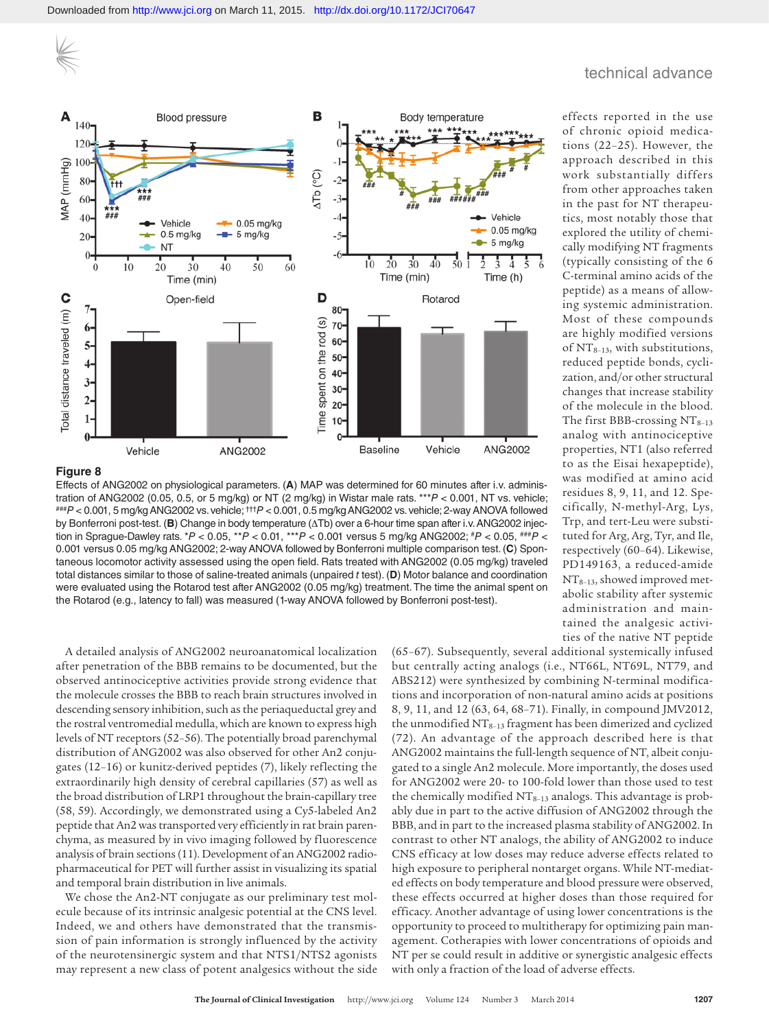

#### **Figure 8**

Effects of ANG2002 on physiological parameters. (**A**) MAP was determined for 60 minutes after i.v. administration of ANG2002 (0.05, 0.5, or 5 mg/kg) or NT (2 mg/kg) in Wistar male rats. \*\*\* $P < 0.001$ , NT vs. vehicle;<br>###P < 0.001, 5 mg/kg ANG2002 vs. vehicle; <sup>†††</sup>P < 0.001, 0.5 mg/kg ANG2002 vs. vehicle; 2-way ANOVA followed by Bonferroni post-test. (**B**) Change in body temperature (ΔTb) over a 6-hour time span after i.v. ANG2002 injection in Sprague-Dawley rats. \**P* < 0.05, \*\**P* < 0.01, \*\*\**P* < 0.001 versus 5 mg/kg ANG2002; #*P* < 0.05, ###*P* < 0.001 versus 0.05 mg/kg ANG2002; 2-way ANOVA followed by Bonferroni multiple comparison test. (**C**) Spontaneous locomotor activity assessed using the open field. Rats treated with ANG2002 (0.05 mg/kg) traveled total distances similar to those of saline-treated animals (unpaired *t* test). (**D**) Motor balance and coordination were evaluated using the Rotarod test after ANG2002 (0.05 mg/kg) treatment. The time the animal spent on the Rotarod (e.g., latency to fall) was measured (1-way ANOVA followed by Bonferroni post-test).

effects reported in the use of chronic opioid medications (22–25). However, the approach described in this work substantially differs from other approaches taken in the past for NT therapeutics, most notably those that explored the utility of chemically modifying NT fragments (typically consisting of the 6 C-terminal amino acids of the peptide) as a means of allowing systemic administration. Most of these compounds are highly modified versions of  $NT_{8-13}$ , with substitutions, reduced peptide bonds, cyclization, and/or other structural changes that increase stability of the molecule in the blood. The first BBB-crossing  $NT<sub>8-13</sub>$ analog with antinociceptive properties, NT1 (also referred to as the Eisai hexapeptide), was modified at amino acid residues 8, 9, 11, and 12. Specifically, N-methyl-Arg, Lys, Trp, and tert-Leu were substituted for Arg, Arg, Tyr, and Ile, respectively (60–64). Likewise, PD149163, a reduced-amide NT8–13, showed improved metabolic stability after systemic administration and maintained the analgesic activities of the native NT peptide

A detailed analysis of ANG2002 neuroanatomical localization after penetration of the BBB remains to be documented, but the observed antinociceptive activities provide strong evidence that the molecule crosses the BBB to reach brain structures involved in descending sensory inhibition, such as the periaqueductal grey and the rostral ventromedial medulla, which are known to express high levels of NT receptors (52–56). The potentially broad parenchymal distribution of ANG2002 was also observed for other An2 conjugates (12–16) or kunitz-derived peptides (7), likely reflecting the extraordinarily high density of cerebral capillaries (57) as well as the broad distribution of LRP1 throughout the brain-capillary tree (58, 59). Accordingly, we demonstrated using a Cy5-labeled An2 peptide that An2 was transported very efficiently in rat brain parenchyma, as measured by in vivo imaging followed by fluorescence analysis of brain sections (11). Development of an ANG2002 radiopharmaceutical for PET will further assist in visualizing its spatial and temporal brain distribution in live animals.

We chose the An2-NT conjugate as our preliminary test molecule because of its intrinsic analgesic potential at the CNS level. Indeed, we and others have demonstrated that the transmission of pain information is strongly influenced by the activity of the neurotensinergic system and that NTS1/NTS2 agonists may represent a new class of potent analgesics without the side (65–67). Subsequently, several additional systemically infused but centrally acting analogs (i.e., NT66L, NT69L, NT79, and ABS212) were synthesized by combining N-terminal modifications and incorporation of non-natural amino acids at positions 8, 9, 11, and 12 (63, 64, 68–71). Finally, in compound JMV2012, the unmodified  $NT<sub>8-13</sub>$  fragment has been dimerized and cyclized (72). An advantage of the approach described here is that ANG2002 maintains the full-length sequence of NT, albeit conjugated to a single An2 molecule. More importantly, the doses used for ANG2002 were 20- to 100-fold lower than those used to test the chemically modified  $NT_{8-13}$  analogs. This advantage is probably due in part to the active diffusion of ANG2002 through the BBB, and in part to the increased plasma stability of ANG2002. In contrast to other NT analogs, the ability of ANG2002 to induce CNS efficacy at low doses may reduce adverse effects related to high exposure to peripheral nontarget organs. While NT-mediated effects on body temperature and blood pressure were observed, these effects occurred at higher doses than those required for efficacy. Another advantage of using lower concentrations is the opportunity to proceed to multitherapy for optimizing pain management. Cotherapies with lower concentrations of opioids and NT per se could result in additive or synergistic analgesic effects with only a fraction of the load of adverse effects.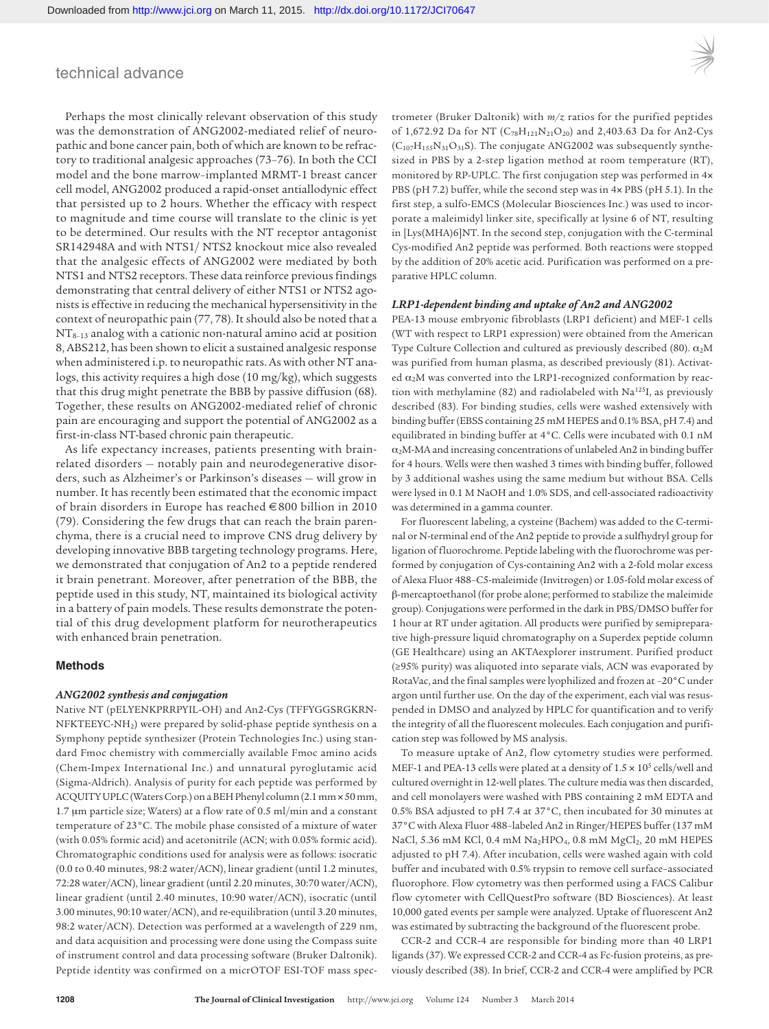Perhaps the most clinically relevant observation of this study was the demonstration of ANG2002-mediated relief of neuropathic and bone cancer pain, both of which are known to be refractory to traditional analgesic approaches (73–76). In both the CCI model and the bone marrow–implanted MRMT-1 breast cancer cell model, ANG2002 produced a rapid-onset antiallodynic effect that persisted up to 2 hours. Whether the efficacy with respect to magnitude and time course will translate to the clinic is yet to be determined. Our results with the NT receptor antagonist SR142948A and with NTS1/ NTS2 knockout mice also revealed that the analgesic effects of ANG2002 were mediated by both NTS1 and NTS2 receptors. These data reinforce previous findings demonstrating that central delivery of either NTS1 or NTS2 agonists is effective in reducing the mechanical hypersensitivity in the context of neuropathic pain (77, 78). It should also be noted that a NT<sub>8-13</sub> analog with a cationic non-natural amino acid at position 8, ABS212, has been shown to elicit a sustained analgesic response when administered i.p. to neuropathic rats. As with other NT analogs, this activity requires a high dose (10 mg/kg), which suggests that this drug might penetrate the BBB by passive diffusion (68). Together, these results on ANG2002-mediated relief of chronic pain are encouraging and support the potential of ANG2002 as a first-in-class NT-based chronic pain therapeutic.

As life expectancy increases, patients presenting with brainrelated disorders — notably pain and neurodegenerative disorders, such as Alzheimer's or Parkinson's diseases — will grow in number. It has recently been estimated that the economic impact of brain disorders in Europe has reached €800 billion in 2010 (79). Considering the few drugs that can reach the brain parenchyma, there is a crucial need to improve CNS drug delivery by developing innovative BBB targeting technology programs. Here, we demonstrated that conjugation of An2 to a peptide rendered it brain penetrant. Moreover, after penetration of the BBB, the peptide used in this study, NT, maintained its biological activity in a battery of pain models. These results demonstrate the potential of this drug development platform for neurotherapeutics with enhanced brain penetration.

#### **Methods**

#### *ANG2002 synthesis and conjugation*

Native NT (pELYENKPRRPYIL-OH) and An2-Cys (TFFYGGSRGKRN-NFKTEEYC-NH2) were prepared by solid-phase peptide synthesis on a Symphony peptide synthesizer (Protein Technologies Inc.) using standard Fmoc chemistry with commercially available Fmoc amino acids (Chem-Impex International Inc.) and unnatural pyroglutamic acid (Sigma-Aldrich). Analysis of purity for each peptide was performed by ACQUITY UPLC (Waters Corp.) on a BEH Phenyl column (2.1 mm × 50 mm, 1.7 μm particle size; Waters) at a flow rate of 0.5 ml/min and a constant temperature of 23°C. The mobile phase consisted of a mixture of water (with 0.05% formic acid) and acetonitrile (ACN; with 0.05% formic acid). Chromatographic conditions used for analysis were as follows: isocratic (0.0 to 0.40 minutes, 98:2 water/ACN), linear gradient (until 1.2 minutes, 72:28 water/ACN), linear gradient (until 2.20 minutes, 30:70 water/ACN), linear gradient (until 2.40 minutes, 10:90 water/ACN), isocratic (until 3.00 minutes, 90:10 water/ACN), and re-equilibration (until 3.20 minutes, 98:2 water/ACN). Detection was performed at a wavelength of 229 nm, and data acquisition and processing were done using the Compass suite of instrument control and data processing software (Bruker Daltonik). Peptide identity was confirmed on a micrOTOF ESI-TOF mass spectrometer (Bruker Daltonik) with *m/z* ratios for the purified peptides of 1,672.92 Da for NT (C<sub>78</sub>H<sub>121</sub>N<sub>21</sub>O<sub>20</sub>) and 2,403.63 Da for An2-Cys  $(C_{107}H_{155}N_{31}O_{31}S)$ . The conjugate ANG2002 was subsequently synthesized in PBS by a 2-step ligation method at room temperature (RT), monitored by RP-UPLC. The first conjugation step was performed in 4× PBS (pH 7.2) buffer, while the second step was in 4× PBS (pH 5.1). In the first step, a sulfo-EMCS (Molecular Biosciences Inc.) was used to incorporate a maleimidyl linker site, specifically at lysine 6 of NT, resulting in [Lys(MHA)6]NT. In the second step, conjugation with the C-terminal Cys-modified An2 peptide was performed. Both reactions were stopped by the addition of 20% acetic acid. Purification was performed on a preparative HPLC column.

#### *LRP1-dependent binding and uptake of An2 and ANG2002*

PEA-13 mouse embryonic fibroblasts (LRP1 deficient) and MEF-1 cells (WT with respect to LRP1 expression) were obtained from the American Type Culture Collection and cultured as previously described (80).  $\alpha_2M$ was purified from human plasma, as described previously (81). Activated  $\alpha_2$ M was converted into the LRP1-recognized conformation by reaction with methylamine (82) and radiolabeled with Na125I, as previously described (83). For binding studies, cells were washed extensively with binding buffer (EBSS containing 25 mM HEPES and 0.1% BSA, pH 7.4) and equilibrated in binding buffer at 4°C. Cells were incubated with 0.1 nM  $\alpha_2$ M-MA and increasing concentrations of unlabeled An2 in binding buffer for 4 hours. Wells were then washed 3 times with binding buffer, followed by 3 additional washes using the same medium but without BSA. Cells were lysed in 0.1 M NaOH and 1.0% SDS, and cell-associated radioactivity was determined in a gamma counter.

For fluorescent labeling, a cysteine (Bachem) was added to the C-terminal or N-terminal end of the An2 peptide to provide a sulfhydryl group for ligation of fluorochrome. Peptide labeling with the fluorochrome was performed by conjugation of Cys-containing An2 with a 2-fold molar excess of Alexa Fluor 488–C5-maleimide (Invitrogen) or 1.05-fold molar excess of β-mercaptoethanol (for probe alone; performed to stabilize the maleimide group). Conjugations were performed in the dark in PBS/DMSO buffer for 1 hour at RT under agitation. All products were purified by semipreparative high-pressure liquid chromatography on a Superdex peptide column (GE Healthcare) using an AKTAexplorer instrument. Purified product (≥95% purity) was aliquoted into separate vials, ACN was evaporated by RotaVac, and the final samples were lyophilized and frozen at –20°C under argon until further use. On the day of the experiment, each vial was resuspended in DMSO and analyzed by HPLC for quantification and to verify the integrity of all the fluorescent molecules. Each conjugation and purification step was followed by MS analysis.

To measure uptake of An2, flow cytometry studies were performed. MEF-1 and PEA-13 cells were plated at a density of  $1.5 \times 10^5$  cells/well and cultured overnight in 12-well plates. The culture media was then discarded, and cell monolayers were washed with PBS containing 2 mM EDTA and 0.5% BSA adjusted to pH 7.4 at 37°C, then incubated for 30 minutes at 37°C with Alexa Fluor 488–labeled An2 in Ringer/HEPES buffer (137 mM NaCl, 5.36 mM KCl, 0.4 mM Na<sub>2</sub>HPO<sub>4</sub>, 0.8 mM MgCl<sub>2</sub>, 20 mM HEPES adjusted to pH 7.4). After incubation, cells were washed again with cold buffer and incubated with 0.5% trypsin to remove cell surface–associated fluorophore. Flow cytometry was then performed using a FACS Calibur flow cytometer with CellQuestPro software (BD Biosciences). At least 10,000 gated events per sample were analyzed. Uptake of fluorescent An2 was estimated by subtracting the background of the fluorescent probe.

CCR-2 and CCR-4 are responsible for binding more than 40 LRP1 ligands (37). We expressed CCR-2 and CCR-4 as Fc-fusion proteins, as previously described (38). In brief, CCR-2 and CCR-4 were amplified by PCR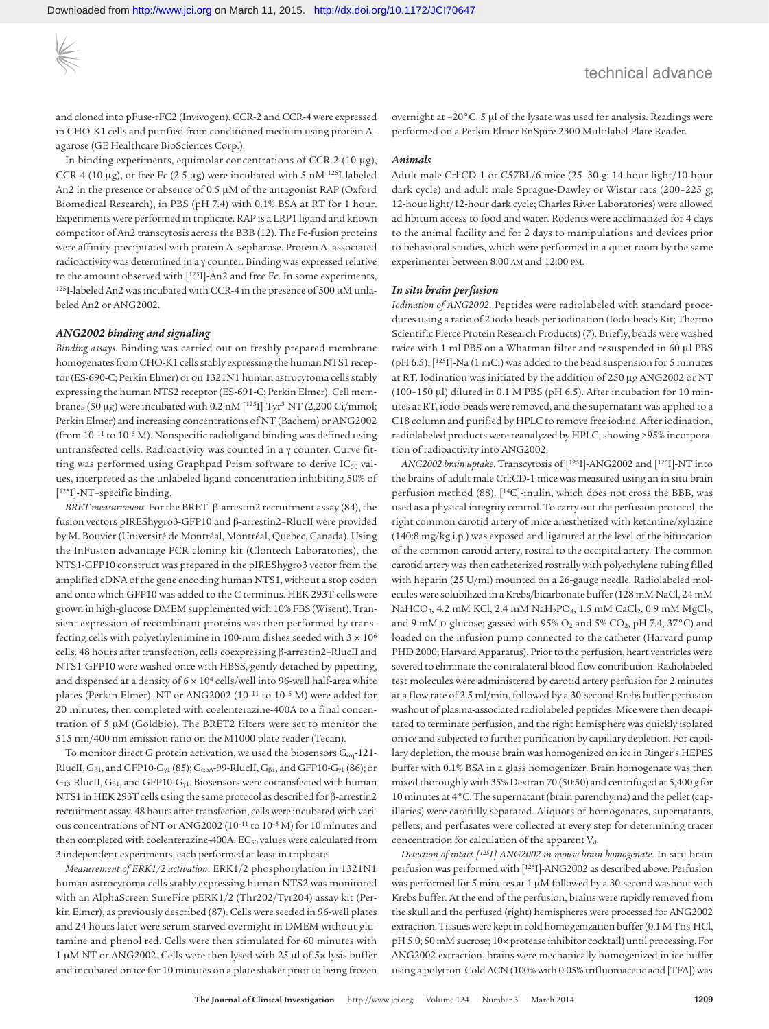and cloned into pFuse-rFC2 (Invivogen). CCR-2 and CCR-4 were expressed in CHO-K1 cells and purified from conditioned medium using protein A– agarose (GE Healthcare BioSciences Corp.).

In binding experiments, equimolar concentrations of CCR-2 (10 μg), CCR-4 (10 μg), or free Fc (2.5 μg) were incubated with 5 nM 125I-labeled An2 in the presence or absence of 0.5 μM of the antagonist RAP (Oxford Biomedical Research), in PBS (pH 7.4) with 0.1% BSA at RT for 1 hour. Experiments were performed in triplicate. RAP is a LRP1 ligand and known competitor of An2 transcytosis across the BBB (12). The Fc-fusion proteins were affinity-precipitated with protein A–sepharose. Protein A–associated radioactivity was determined in a γ counter. Binding was expressed relative to the amount observed with [125I]-An2 and free Fc. In some experiments, 125I-labeled An2 was incubated with CCR-4 in the presence of 500 μM unlabeled An2 or ANG2002.

#### *ANG2002 binding and signaling*

*Binding assays*. Binding was carried out on freshly prepared membrane homogenates from CHO-K1 cells stably expressing the human NTS1 receptor (ES-690-C; Perkin Elmer) or on 1321N1 human astrocytoma cells stably expressing the human NTS2 receptor (ES-691-C; Perkin Elmer). Cell membranes (50 μg) were incubated with 0.2 nM [125I]-Tyr3-NT (2,200 Ci/mmol; Perkin Elmer) and increasing concentrations of NT (Bachem) or ANG2002 (from 10–11 to 10–5 M). Nonspecific radioligand binding was defined using untransfected cells. Radioactivity was counted in a γ counter. Curve fitting was performed using Graphpad Prism software to derive IC<sub>50</sub> values, interpreted as the unlabeled ligand concentration inhibiting 50% of [125I]-NT–specific binding.

*BRET measurement*. For the BRET–β-arrestin2 recruitment assay (84), the fusion vectors pIREShygro3-GFP10 and β-arrestin2–RlucII were provided by M. Bouvier (Université de Montréal, Montréal, Quebec, Canada). Using the InFusion advantage PCR cloning kit (Clontech Laboratories), the NTS1-GFP10 construct was prepared in the pIREShygro3 vector from the amplified cDNA of the gene encoding human NTS1, without a stop codon and onto which GFP10 was added to the C terminus. HEK 293T cells were grown in high-glucose DMEM supplemented with 10% FBS (Wisent). Transient expression of recombinant proteins was then performed by transfecting cells with polyethylenimine in 100-mm dishes seeded with  $3 \times 10^6$ cells. 48 hours after transfection, cells coexpressing β-arrestin2–RlucII and NTS1-GFP10 were washed once with HBSS, gently detached by pipetting, and dispensed at a density of  $6 \times 10^4$  cells/well into 96-well half-area white plates (Perkin Elmer). NT or ANG2002 (10–11 to 10–5 M) were added for 20 minutes, then completed with coelenterazine-400A to a final concentration of 5 μM (Goldbio). The BRET2 filters were set to monitor the 515 nm/400 nm emission ratio on the M1000 plate reader (Tecan).

To monitor direct G protein activation, we used the biosensors  $G_{\alpha q}$ -121-RlucII,  $G_{\beta1}$ , and GFP10- $G_{\gamma1}$  (85);  $G_{\alpha0}$ A-99-RlucII,  $G_{\beta1}$ , and GFP10- $G_{\gamma1}$  (86); or  $G_{13}$ -RlucII,  $G_{\beta1}$ , and GFP10- $G_{\gamma1}$ . Biosensors were cotransfected with human NTS1 in HEK 293T cells using the same protocol as described for β-arrestin2 recruitment assay. 48 hours after transfection, cells were incubated with various concentrations of NT or ANG2002 (10–11 to 10–5 M) for 10 minutes and then completed with coelenterazine-400A.  $EC_{50}$  values were calculated from 3 independent experiments, each performed at least in triplicate.

*Measurement of ERK1/2 activation*. ERK1/2 phosphorylation in 1321N1 human astrocytoma cells stably expressing human NTS2 was monitored with an AlphaScreen SureFire pERK1/2 (Thr202/Tyr204) assay kit (Perkin Elmer), as previously described (87). Cells were seeded in 96-well plates and 24 hours later were serum-starved overnight in DMEM without glutamine and phenol red. Cells were then stimulated for 60 minutes with 1 μM NT or ANG2002. Cells were then lysed with 25 μl of 5× lysis buffer and incubated on ice for 10 minutes on a plate shaker prior to being frozen overnight at –20°C. 5 μl of the lysate was used for analysis. Readings were performed on a Perkin Elmer EnSpire 2300 Multilabel Plate Reader.

#### *Animals*

Adult male Crl:CD-1 or C57BL/6 mice (25–30 g; 14-hour light/10-hour dark cycle) and adult male Sprague-Dawley or Wistar rats (200–225 g; 12-hour light/12-hour dark cycle; Charles River Laboratories) were allowed ad libitum access to food and water. Rodents were acclimatized for 4 days to the animal facility and for 2 days to manipulations and devices prior to behavioral studies, which were performed in a quiet room by the same experimenter between 8:00 am and 12:00 pm.

#### *In situ brain perfusion*

*Iodination of ANG2002*. Peptides were radiolabeled with standard procedures using a ratio of 2 iodo-beads per iodination (Iodo-beads Kit; Thermo Scientific Pierce Protein Research Products) (7). Briefly, beads were washed twice with 1 ml PBS on a Whatman filter and resuspended in 60 μl PBS (pH 6.5). [125I]-Na (1 mCi) was added to the bead suspension for 5 minutes at RT. Iodination was initiated by the addition of 250 μg ANG2002 or NT (100–150 μl) diluted in 0.1 M PBS (pH 6.5). After incubation for 10 minutes at RT, iodo-beads were removed, and the supernatant was applied to a C18 column and purified by HPLC to remove free iodine. After iodination, radiolabeled products were reanalyzed by HPLC, showing >95% incorporation of radioactivity into ANG2002.

*ANG2002 brain uptake*. Transcytosis of [125I]-ANG2002 and [125I]-NT into the brains of adult male Crl:CD-1 mice was measured using an in situ brain perfusion method (88). [14C]-inulin, which does not cross the BBB, was used as a physical integrity control. To carry out the perfusion protocol, the right common carotid artery of mice anesthetized with ketamine/xylazine (140:8 mg/kg i.p.) was exposed and ligatured at the level of the bifurcation of the common carotid artery, rostral to the occipital artery. The common carotid artery was then catheterized rostrally with polyethylene tubing filled with heparin (25 U/ml) mounted on a 26-gauge needle. Radiolabeled molecules were solubilized in a Krebs/bicarbonate buffer (128 mM NaCl, 24 mM NaHCO<sub>3</sub>, 4.2 mM KCl, 2.4 mM NaH<sub>2</sub>PO<sub>4</sub>, 1.5 mM CaCl<sub>2</sub>, 0.9 mM MgCl<sub>2</sub>, and 9 mM D-glucose; gassed with 95%  $O_2$  and 5%  $CO_2$ , pH 7.4, 37°C) and loaded on the infusion pump connected to the catheter (Harvard pump PHD 2000; Harvard Apparatus). Prior to the perfusion, heart ventricles were severed to eliminate the contralateral blood flow contribution. Radiolabeled test molecules were administered by carotid artery perfusion for 2 minutes at a flow rate of 2.5 ml/min, followed by a 30-second Krebs buffer perfusion washout of plasma-associated radiolabeled peptides. Mice were then decapitated to terminate perfusion, and the right hemisphere was quickly isolated on ice and subjected to further purification by capillary depletion. For capillary depletion, the mouse brain was homogenized on ice in Ringer's HEPES buffer with 0.1% BSA in a glass homogenizer. Brain homogenate was then mixed thoroughly with 35% Dextran 70 (50:50) and centrifuged at 5,400 *g* for 10 minutes at 4°C. The supernatant (brain parenchyma) and the pellet (capillaries) were carefully separated. Aliquots of homogenates, supernatants, pellets, and perfusates were collected at every step for determining tracer concentration for calculation of the apparent  $V_{d}$ .

*Detection of intact [125I]-ANG2002 in mouse brain homogenate*. In situ brain perfusion was performed with [125I]-ANG2002 as described above. Perfusion was performed for 5 minutes at 1 μM followed by a 30-second washout with Krebs buffer. At the end of the perfusion, brains were rapidly removed from the skull and the perfused (right) hemispheres were processed for ANG2002 extraction. Tissues were kept in cold homogenization buffer (0.1 M Tris-HCl, pH 5.0; 50 mM sucrose; 10× protease inhibitor cocktail) until processing. For ANG2002 extraction, brains were mechanically homogenized in ice buffer using a polytron. Cold ACN (100% with 0.05% trifluoroacetic acid [TFA]) was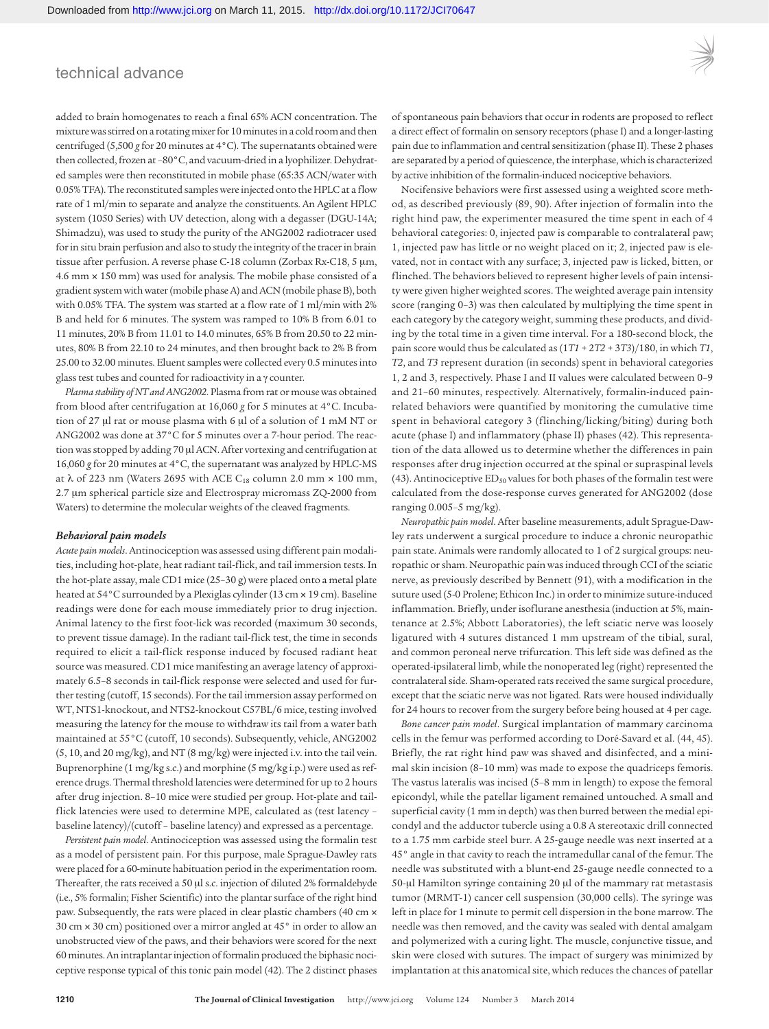added to brain homogenates to reach a final 65% ACN concentration. The mixture was stirred on a rotating mixer for 10 minutes in a cold room and then centrifuged (5,500 *g* for 20 minutes at 4°C). The supernatants obtained were then collected, frozen at –80°C, and vacuum-dried in a lyophilizer. Dehydrated samples were then reconstituted in mobile phase (65:35 ACN/water with 0.05% TFA). The reconstituted samples were injected onto the HPLC at a flow rate of 1 ml/min to separate and analyze the constituents. An Agilent HPLC system (1050 Series) with UV detection, along with a degasser (DGU-14A; Shimadzu), was used to study the purity of the ANG2002 radiotracer used for in situ brain perfusion and also to study the integrity of the tracer in brain tissue after perfusion. A reverse phase C-18 column (Zorbax Rx-C18, 5 μm, 4.6 mm × 150 mm) was used for analysis. The mobile phase consisted of a gradient system with water (mobile phase A) and ACN (mobile phase B), both with 0.05% TFA. The system was started at a flow rate of 1 ml/min with 2% B and held for 6 minutes. The system was ramped to 10% B from 6.01 to 11 minutes, 20% B from 11.01 to 14.0 minutes, 65% B from 20.50 to 22 minutes, 80% B from 22.10 to 24 minutes, and then brought back to 2% B from 25.00 to 32.00 minutes. Eluent samples were collected every 0.5 minutes into glass test tubes and counted for radioactivity in a γ counter.

*Plasma stability of NT and ANG2002*. Plasma from rat or mouse was obtained from blood after centrifugation at 16,060 *g* for 5 minutes at 4°C. Incubation of 27 μl rat or mouse plasma with 6 μl of a solution of 1 mM NT or ANG2002 was done at 37°C for 5 minutes over a 7-hour period. The reaction was stopped by adding 70 μl ACN. After vortexing and centrifugation at 16,060 *g* for 20 minutes at 4°C, the supernatant was analyzed by HPLC-MS at  $\lambda$  of 223 nm (Waters 2695 with ACE C<sub>18</sub> column 2.0 mm  $\times$  100 mm, 2.7 μm spherical particle size and Electrospray micromass ZQ-2000 from Waters) to determine the molecular weights of the cleaved fragments.

#### *Behavioral pain models*

*Acute pain models*. Antinociception was assessed using different pain modalities, including hot-plate, heat radiant tail-flick, and tail immersion tests. In the hot-plate assay, male CD1 mice (25–30 g) were placed onto a metal plate heated at 54°C surrounded by a Plexiglas cylinder (13 cm × 19 cm). Baseline readings were done for each mouse immediately prior to drug injection. Animal latency to the first foot-lick was recorded (maximum 30 seconds, to prevent tissue damage). In the radiant tail-flick test, the time in seconds required to elicit a tail-flick response induced by focused radiant heat source was measured. CD1 mice manifesting an average latency of approximately 6.5–8 seconds in tail-flick response were selected and used for further testing (cutoff, 15 seconds). For the tail immersion assay performed on WT, NTS1-knockout, and NTS2-knockout C57BL/6 mice, testing involved measuring the latency for the mouse to withdraw its tail from a water bath maintained at 55°C (cutoff, 10 seconds). Subsequently, vehicle, ANG2002 (5, 10, and 20 mg/kg), and NT (8 mg/kg) were injected i.v. into the tail vein. Buprenorphine (1 mg/kg s.c.) and morphine (5 mg/kg i.p.) were used as reference drugs. Thermal threshold latencies were determined for up to 2 hours after drug injection. 8–10 mice were studied per group. Hot-plate and tailflick latencies were used to determine MPE, calculated as (test latency – baseline latency)/(cutoff – baseline latency) and expressed as a percentage.

*Persistent pain model*. Antinociception was assessed using the formalin test as a model of persistent pain. For this purpose, male Sprague-Dawley rats were placed for a 60-minute habituation period in the experimentation room. Thereafter, the rats received a 50 μl s.c. injection of diluted 2% formaldehyde (i.e., 5% formalin; Fisher Scientific) into the plantar surface of the right hind paw. Subsequently, the rats were placed in clear plastic chambers (40 cm × 30 cm × 30 cm) positioned over a mirror angled at 45° in order to allow an unobstructed view of the paws, and their behaviors were scored for the next 60 minutes. An intraplantar injection of formalin produced the biphasic nociceptive response typical of this tonic pain model (42). The 2 distinct phases of spontaneous pain behaviors that occur in rodents are proposed to reflect a direct effect of formalin on sensory receptors (phase I) and a longer-lasting pain due to inflammation and central sensitization (phase II). These 2 phases are separated by a period of quiescence, the interphase, which is characterized by active inhibition of the formalin-induced nociceptive behaviors.

Nocifensive behaviors were first assessed using a weighted score method, as described previously (89, 90). After injection of formalin into the right hind paw, the experimenter measured the time spent in each of 4 behavioral categories: 0, injected paw is comparable to contralateral paw; 1, injected paw has little or no weight placed on it; 2, injected paw is elevated, not in contact with any surface; 3, injected paw is licked, bitten, or flinched. The behaviors believed to represent higher levels of pain intensity were given higher weighted scores. The weighted average pain intensity score (ranging 0–3) was then calculated by multiplying the time spent in each category by the category weight, summing these products, and dividing by the total time in a given time interval. For a 180-second block, the pain score would thus be calculated as (1*T1* + 2*T2* + 3*T3*)/180, in which *T1*, *T2*, and *T3* represent duration (in seconds) spent in behavioral categories 1, 2 and 3, respectively. Phase I and II values were calculated between 0–9 and 21–60 minutes, respectively. Alternatively, formalin-induced painrelated behaviors were quantified by monitoring the cumulative time spent in behavioral category 3 (flinching/licking/biting) during both acute (phase I) and inflammatory (phase II) phases (42). This representation of the data allowed us to determine whether the differences in pain responses after drug injection occurred at the spinal or supraspinal levels (43). Antinociceptive  $ED_{50}$  values for both phases of the formalin test were calculated from the dose-response curves generated for ANG2002 (dose ranging 0.005–5 mg/kg).

*Neuropathic pain model*. After baseline measurements, adult Sprague-Dawley rats underwent a surgical procedure to induce a chronic neuropathic pain state. Animals were randomly allocated to 1 of 2 surgical groups: neuropathic or sham. Neuropathic pain was induced through CCI of the sciatic nerve, as previously described by Bennett (91), with a modification in the suture used (5-0 Prolene; Ethicon Inc.) in order to minimize suture-induced inflammation. Briefly, under isoflurane anesthesia (induction at 5%, maintenance at 2.5%; Abbott Laboratories), the left sciatic nerve was loosely ligatured with 4 sutures distanced 1 mm upstream of the tibial, sural, and common peroneal nerve trifurcation. This left side was defined as the operated-ipsilateral limb, while the nonoperated leg (right) represented the contralateral side. Sham-operated rats received the same surgical procedure, except that the sciatic nerve was not ligated. Rats were housed individually for 24 hours to recover from the surgery before being housed at 4 per cage.

*Bone cancer pain model*. Surgical implantation of mammary carcinoma cells in the femur was performed according to Doré-Savard et al. (44, 45). Briefly, the rat right hind paw was shaved and disinfected, and a minimal skin incision (8–10 mm) was made to expose the quadriceps femoris. The vastus lateralis was incised (5–8 mm in length) to expose the femoral epicondyl, while the patellar ligament remained untouched. A small and superficial cavity (1 mm in depth) was then burred between the medial epicondyl and the adductor tubercle using a 0.8 A stereotaxic drill connected to a 1.75 mm carbide steel burr. A 25-gauge needle was next inserted at a 45° angle in that cavity to reach the intramedullar canal of the femur. The needle was substituted with a blunt-end 25-gauge needle connected to a 50-μl Hamilton syringe containing 20 μl of the mammary rat metastasis tumor (MRMT-1) cancer cell suspension (30,000 cells). The syringe was left in place for 1 minute to permit cell dispersion in the bone marrow. The needle was then removed, and the cavity was sealed with dental amalgam and polymerized with a curing light. The muscle, conjunctive tissue, and skin were closed with sutures. The impact of surgery was minimized by implantation at this anatomical site, which reduces the chances of patellar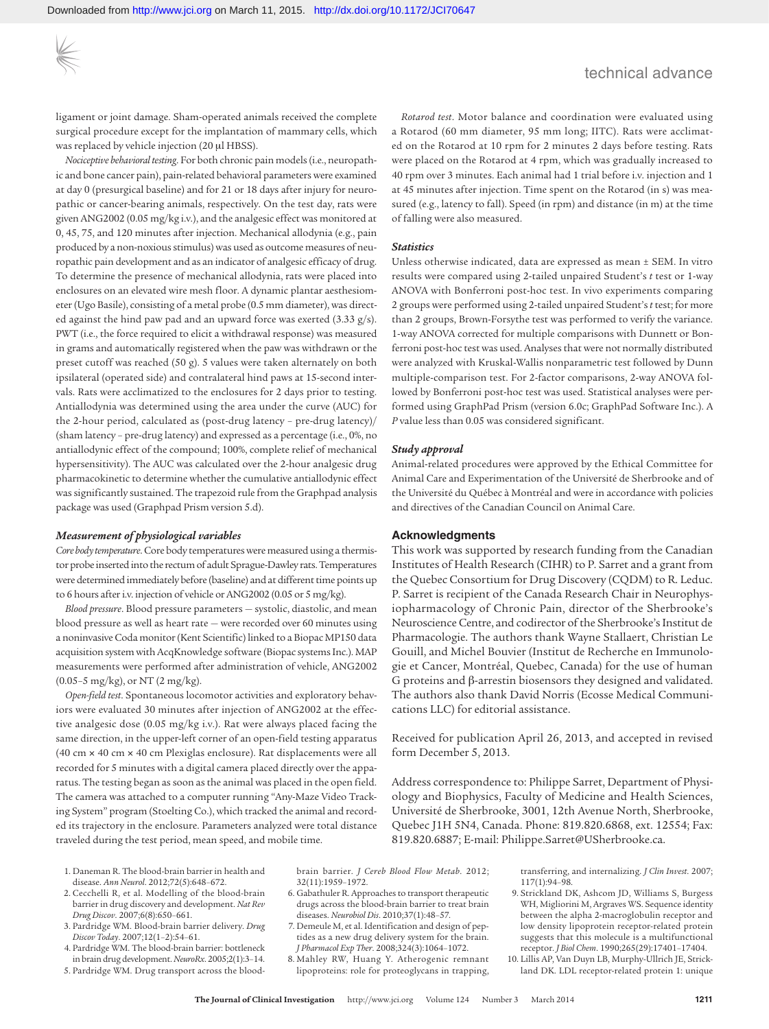ligament or joint damage. Sham-operated animals received the complete surgical procedure except for the implantation of mammary cells, which was replaced by vehicle injection (20 μl HBSS).

*Nociceptive behavioral testing*. For both chronic pain models (i.e., neuropathic and bone cancer pain), pain-related behavioral parameters were examined at day 0 (presurgical baseline) and for 21 or 18 days after injury for neuropathic or cancer-bearing animals, respectively. On the test day, rats were given ANG2002 (0.05 mg/kg i.v.), and the analgesic effect was monitored at 0, 45, 75, and 120 minutes after injection. Mechanical allodynia (e.g., pain produced by a non-noxious stimulus) was used as outcome measures of neuropathic pain development and as an indicator of analgesic efficacy of drug. To determine the presence of mechanical allodynia, rats were placed into enclosures on an elevated wire mesh floor. A dynamic plantar aesthesiometer (Ugo Basile), consisting of a metal probe (0.5 mm diameter), was directed against the hind paw pad and an upward force was exerted (3.33 g/s). PWT (i.e., the force required to elicit a withdrawal response) was measured in grams and automatically registered when the paw was withdrawn or the preset cutoff was reached (50 g). 5 values were taken alternately on both ipsilateral (operated side) and contralateral hind paws at 15-second intervals. Rats were acclimatized to the enclosures for 2 days prior to testing. Antiallodynia was determined using the area under the curve (AUC) for the 2-hour period, calculated as (post-drug latency – pre-drug latency)/ (sham latency – pre-drug latency) and expressed as a percentage (i.e., 0%, no antiallodynic effect of the compound; 100%, complete relief of mechanical hypersensitivity). The AUC was calculated over the 2-hour analgesic drug pharmacokinetic to determine whether the cumulative antiallodynic effect was significantly sustained. The trapezoid rule from the Graphpad analysis package was used (Graphpad Prism version 5.d).

#### *Measurement of physiological variables*

*Core body temperature*. Core body temperatures were measured using a thermistor probe inserted into the rectum of adult Sprague-Dawley rats. Temperatures were determined immediately before (baseline) and at different time points up to 6 hours after i.v. injection of vehicle or ANG2002 (0.05 or 5 mg/kg).

*Blood pressure*. Blood pressure parameters — systolic, diastolic, and mean blood pressure as well as heart rate — were recorded over 60 minutes using a noninvasive Coda monitor (Kent Scientific) linked to a Biopac MP150 data acquisition system with AcqKnowledge software (Biopac systems Inc.). MAP measurements were performed after administration of vehicle, ANG2002 (0.05–5 mg/kg), or NT (2 mg/kg).

*Open-field test*. Spontaneous locomotor activities and exploratory behaviors were evaluated 30 minutes after injection of ANG2002 at the effective analgesic dose (0.05 mg/kg i.v.). Rat were always placed facing the same direction, in the upper-left corner of an open-field testing apparatus (40 cm × 40 cm × 40 cm Plexiglas enclosure). Rat displacements were all recorded for 5 minutes with a digital camera placed directly over the apparatus. The testing began as soon as the animal was placed in the open field. The camera was attached to a computer running "Any-Maze Video Tracking System" program (Stoelting Co.), which tracked the animal and recorded its trajectory in the enclosure. Parameters analyzed were total distance traveled during the test period, mean speed, and mobile time.

- brain barrier. *J Cereb Blood Flow Metab*. 2012; 32(11):1959–1972.
- 6. Gabathuler R. Approaches to transport therapeutic drugs across the blood-brain barrier to treat brain diseases. *Neurobiol Dis*. 2010;37(1):48–57.
- 7. Demeule M, et al. Identification and design of peptides as a new drug delivery system for the brain. *J Pharmacol Exp Ther*. 2008;324(3):1064–1072.
- 8. Mahley RW, Huang Y. Atherogenic remnant lipoproteins: role for proteoglycans in trapping,

*Rotarod test*. Motor balance and coordination were evaluated using a Rotarod (60 mm diameter, 95 mm long; IITC). Rats were acclimated on the Rotarod at 10 rpm for 2 minutes 2 days before testing. Rats were placed on the Rotarod at 4 rpm, which was gradually increased to 40 rpm over 3 minutes. Each animal had 1 trial before i.v. injection and 1 at 45 minutes after injection. Time spent on the Rotarod (in s) was measured (e.g., latency to fall). Speed (in rpm) and distance (in m) at the time of falling were also measured.

#### *Statistics*

Unless otherwise indicated, data are expressed as mean ± SEM. In vitro results were compared using 2-tailed unpaired Student's *t* test or 1-way ANOVA with Bonferroni post-hoc test. In vivo experiments comparing 2 groups were performed using 2-tailed unpaired Student's *t* test; for more than 2 groups, Brown-Forsythe test was performed to verify the variance. 1-way ANOVA corrected for multiple comparisons with Dunnett or Bonferroni post-hoc test was used. Analyses that were not normally distributed were analyzed with Kruskal-Wallis nonparametric test followed by Dunn multiple-comparison test. For 2-factor comparisons, 2-way ANOVA followed by Bonferroni post-hoc test was used. Statistical analyses were performed using GraphPad Prism (version 6.0c; GraphPad Software Inc.). A *P* value less than 0.05 was considered significant.

#### *Study approval*

Animal-related procedures were approved by the Ethical Committee for Animal Care and Experimentation of the Université de Sherbrooke and of the Université du Québec à Montréal and were in accordance with policies and directives of the Canadian Council on Animal Care.

#### **Acknowledgments**

This work was supported by research funding from the Canadian Institutes of Health Research (CIHR) to P. Sarret and a grant from the Quebec Consortium for Drug Discovery (CQDM) to R. Leduc. P. Sarret is recipient of the Canada Research Chair in Neurophysiopharmacology of Chronic Pain, director of the Sherbrooke's Neuroscience Centre, and codirector of the Sherbrooke's Institut de Pharmacologie. The authors thank Wayne Stallaert, Christian Le Gouill, and Michel Bouvier (Institut de Recherche en Immunologie et Cancer, Montréal, Quebec, Canada) for the use of human G proteins and β-arrestin biosensors they designed and validated. The authors also thank David Norris (Ecosse Medical Communications LLC) for editorial assistance.

Received for publication April 26, 2013, and accepted in revised form December 5, 2013.

Address correspondence to: Philippe Sarret, Department of Physiology and Biophysics, Faculty of Medicine and Health Sciences, Université de Sherbrooke, 3001, 12th Avenue North, Sherbrooke, Quebec J1H 5N4, Canada. Phone: 819.820.6868, ext. 12554; Fax: 819.820.6887; E-mail: Philippe.Sarret@USherbrooke.ca.

> transferring, and internalizing. *J Clin Invest*. 2007; 117(1):94–98.

- 9. Strickland DK, Ashcom JD, Williams S, Burgess WH, Migliorini M, Argraves WS. Sequence identity between the alpha 2-macroglobulin receptor and low density lipoprotein receptor-related protein suggests that this molecule is a multifunctional receptor. *J Biol Chem*. 1990;265(29):17401–17404.
- 10. Lillis AP, Van Duyn LB, Murphy-Ullrich JE, Strickland DK. LDL receptor-related protein 1: unique
- 1. Daneman R. The blood-brain barrier in health and disease. *Ann Neurol*. 2012;72(5):648–672.
- 2. Cecchelli R, et al. Modelling of the blood-brain barrier in drug discovery and development. *Nat Rev Drug Discov*. 2007;6(8):650–661.
- 3. Pardridge WM. Blood-brain barrier delivery. *Drug Discov Today*. 2007;12(1–2):54–61.
- 4. Pardridge WM. The blood-brain barrier: bottleneck in brain drug development. *NeuroRx*. 2005;2(1):3–14.
- 5. Pardridge WM. Drug transport across the blood-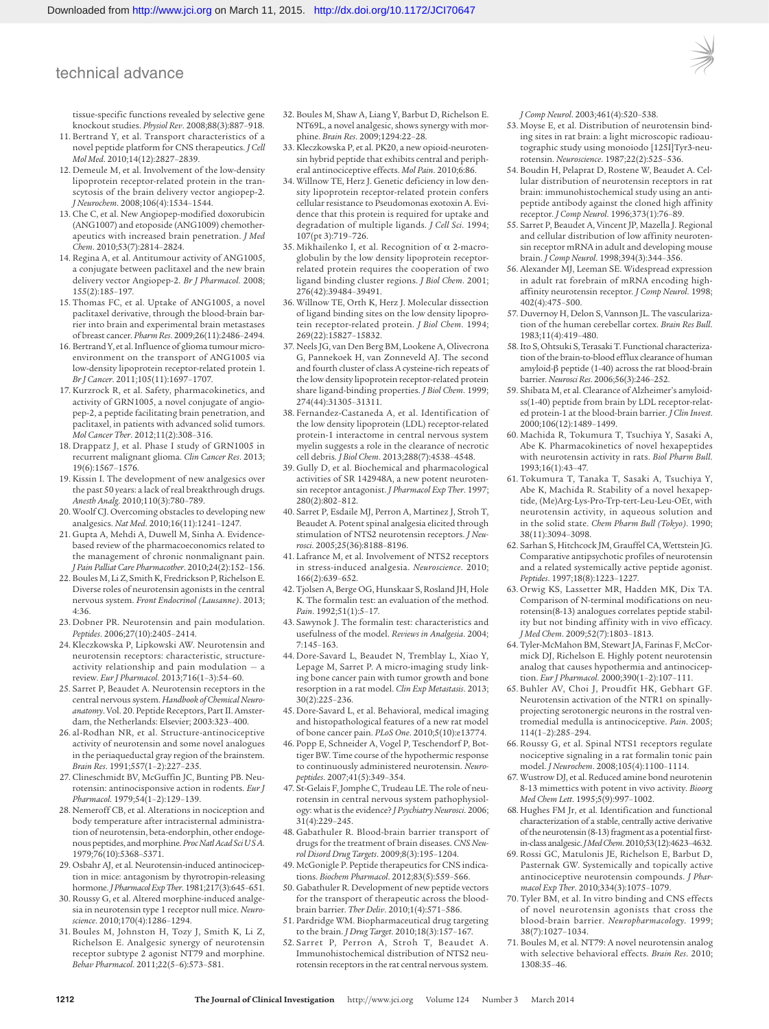tissue-specific functions revealed by selective gene knockout studies. *Physiol Rev*. 2008;88(3):887–918.

- 11. Bertrand Y, et al. Transport characteristics of a novel peptide platform for CNS therapeutics. *J Cell Mol Med*. 2010;14(12):2827–2839.
- 12. Demeule M, et al. Involvement of the low-density lipoprotein receptor-related protein in the transcytosis of the brain delivery vector angiopep-2. *J Neurochem*. 2008;106(4):1534–1544.
- 13. Che C, et al. New Angiopep-modified doxorubicin (ANG1007) and etoposide (ANG1009) chemotherapeutics with increased brain penetration. *J Med Chem*. 2010;53(7):2814–2824.
- 14. Regina A, et al. Antitumour activity of ANG1005, a conjugate between paclitaxel and the new brain delivery vector Angiopep-2. *Br J Pharmacol*. 2008; 155(2):185–197.
- 15. Thomas FC, et al. Uptake of ANG1005, a novel paclitaxel derivative, through the blood-brain barrier into brain and experimental brain metastases of breast cancer. *Pharm Res*. 2009;26(11):2486–2494.
- 16. Bertrand Y, et al. Influence of glioma tumour microenvironment on the transport of ANG1005 via low-density lipoprotein receptor-related protein 1. *Br J Cancer*. 2011;105(11):1697–1707.
- 17. Kurzrock R, et al. Safety, pharmacokinetics, and activity of GRN1005, a novel conjugate of angiopep-2, a peptide facilitating brain penetration, and paclitaxel, in patients with advanced solid tumors. *Mol Cancer Ther*. 2012;11(2):308–316.
- 18. Drappatz J, et al. Phase I study of GRN1005 in recurrent malignant glioma. *Clin Cancer Res*. 2013; 19(6):1567–1576.
- 19. Kissin I. The development of new analgesics over the past 50 years: a lack of real breakthrough drugs. *Anesth Analg*. 2010;110(3):780–789.
- 20. Woolf CJ. Overcoming obstacles to developing new analgesics. *Nat Med*. 2010;16(11):1241–1247.
- 21. Gupta A, Mehdi A, Duwell M, Sinha A. Evidencebased review of the pharmacoeconomics related to the management of chronic nonmalignant pain. *J Pain Palliat Care Pharmacother*. 2010;24(2):152–156.
- 22. Boules M, Li Z, Smith K, Fredrickson P, Richelson E. Diverse roles of neurotensin agonists in the central nervous system. *Front Endocrinol (Lausanne)*. 2013; 4:36.
- 23. Dobner PR. Neurotensin and pain modulation. *Peptides*. 2006;27(10):2405–2414.
- 24. Kleczkowska P, Lipkowski AW. Neurotensin and neurotensin receptors: characteristic, structureactivity relationship and pain modulation — a review. *Eur J Pharmacol*. 2013;716(1–3):54–60.
- 25. Sarret P, Beaudet A. Neurotensin receptors in the central nervous system. *Handbook of Chemical Neuroanatomy*. Vol. 20. Peptide Receptors, Part II. Amsterdam, the Netherlands: Elsevier; 2003:323–400.
- 26. al-Rodhan NR, et al. Structure-antinociceptive activity of neurotensin and some novel analogues in the periaqueductal gray region of the brainstem. *Brain Res*. 1991;557(1–2):227–235.
- 27. Clineschmidt BV, McGuffin JC, Bunting PB. Neurotensin: antinocisponsive action in rodents. *Eur J Pharmacol*. 1979;54(1–2):129–139.
- 28. Nemeroff CB, et al. Alterations in nociception and body temperature after intracisternal administration of neurotensin, beta-endorphin, other endogenous peptides, and morphine. *Proc Natl Acad Sci U S A*. 1979;76(10):5368–5371.
- 29. Osbahr AJ, et al. Neurotensin-induced antinociception in mice: antagonism by thyrotropin-releasing hormone. *J Pharmacol Exp Ther*. 1981;217(3):645–651.
- 30. Roussy G, et al. Altered morphine-induced analgesia in neurotensin type 1 receptor null mice. *Neuroscience*. 2010;170(4):1286–1294.
- 31. Boules M, Johnston H, Tozy J, Smith K, Li Z, Richelson E. Analgesic synergy of neurotensin receptor subtype 2 agonist NT79 and morphine. *Behav Pharmacol*. 2011;22(5–6):573–581.
- 32. Boules M, Shaw A, Liang Y, Barbut D, Richelson E. NT69L, a novel analgesic, shows synergy with morphine. *Brain Res*. 2009;1294:22–28.
- 33. Kleczkowska P, et al. PK20, a new opioid-neurotensin hybrid peptide that exhibits central and peripheral antinociceptive effects. *Mol Pain*. 2010;6:86.
- 34. Willnow TE, Herz J. Genetic deficiency in low density lipoprotein receptor-related protein confers cellular resistance to Pseudomonas exotoxin A. Evidence that this protein is required for uptake and degradation of multiple ligands. *J Cell Sci*. 1994; 107(pt 3):719–726.
- 35. Mikhailenko I, et al. Recognition of α 2-macroglobulin by the low density lipoprotein receptorrelated protein requires the cooperation of two ligand binding cluster regions. *J Biol Chem*. 2001; 276(42):39484–39491.
- 36. Willnow TE, Orth K, Herz J. Molecular dissection of ligand binding sites on the low density lipoprotein receptor-related protein. *J Biol Chem*. 1994; 269(22):15827–15832.
- 37. Neels JG, van Den Berg BM, Lookene A, Olivecrona G, Pannekoek H, van Zonneveld AJ. The second and fourth cluster of class A cysteine-rich repeats of the low density lipoprotein receptor-related protein share ligand-binding properties. *J Biol Chem*. 1999; 274(44):31305–31311.
- 38. Fernandez-Castaneda A, et al. Identification of the low density lipoprotein (LDL) receptor-related protein-1 interactome in central nervous system myelin suggests a role in the clearance of necrotic cell debris. *J Biol Chem*. 2013;288(7):4538–4548.
- 39. Gully D, et al. Biochemical and pharmacological activities of SR 142948A, a new potent neurotensin receptor antagonist. *J Pharmacol Exp Ther*. 1997; 280(2):802–812.
- 40. Sarret P, Esdaile MJ, Perron A, Martinez J, Stroh T, Beaudet A. Potent spinal analgesia elicited through stimulation of NTS2 neurotensin receptors. *J Neurosci*. 2005;25(36):8188–8196.
- 41. Lafrance M, et al. Involvement of NTS2 receptors in stress-induced analgesia. *Neuroscience*. 2010; 166(2):639–652.
- 42. Tjolsen A, Berge OG, Hunskaar S, Rosland JH, Hole K. The formalin test: an evaluation of the method. *Pain*. 1992;51(1):5–17.
- 43. Sawynok J. The formalin test: characteristics and usefulness of the model. *Reviews in Analgesia*. 2004; 7:145–163.
- 44. Dore-Savard L, Beaudet N, Tremblay L, Xiao Y, Lepage M, Sarret P. A micro-imaging study linking bone cancer pain with tumor growth and bone resorption in a rat model. *Clin Exp Metastasis*. 2013; 30(2):225–236.
- 45. Dore-Savard L, et al. Behavioral, medical imaging and histopathological features of a new rat model of bone cancer pain. *PLoS One*. 2010;5(10):e13774.
- 46. Popp E, Schneider A, Vogel P, Teschendorf P, Bottiger BW. Time course of the hypothermic response to continuously administered neurotensin. *Neuropeptides*. 2007;41(5):349–354.
- 47. St-Gelais F, Jomphe C, Trudeau LE. The role of neurotensin in central nervous system pathophysiology: what is the evidence? *J Psychiatry Neurosci*. 2006; 31(4):229–245.
- 48. Gabathuler R. Blood-brain barrier transport of drugs for the treatment of brain diseases. *CNS Neurol Disord Drug Targets*. 2009;8(3):195–1204.
- 49. McGonigle P. Peptide therapeutics for CNS indications. *Biochem Pharmacol*. 2012;83(5):559–566.
- 50. Gabathuler R. Development of new peptide vectors for the transport of therapeutic across the bloodbrain barrier. *Ther Deliv*. 2010;1(4):571–586.
- 51. Pardridge WM. Biopharmaceutical drug targeting to the brain. *J Drug Target*. 2010;18(3):157–167.
- 52. Sarret P, Perron A, Stroh T, Beaudet A. Immunohistochemical distribution of NTS2 neurotensin receptors in the rat central nervous system.

*J Comp Neurol*. 2003;461(4):520–538.

- 53. Moyse E, et al. Distribution of neurotensin binding sites in rat brain: a light microscopic radioautographic study using monoiodo [125I]Tyr3-neurotensin. *Neuroscience*. 1987;22(2):525–536.
- 54. Boudin H, Pelaprat D, Rostene W, Beaudet A. Cellular distribution of neurotensin receptors in rat brain: immunohistochemical study using an antipeptide antibody against the cloned high affinity receptor. *J Comp Neurol*. 1996;373(1):76–89.
- 55. Sarret P, Beaudet A, Vincent JP, Mazella J. Regional and cellular distribution of low affinity neurotensin receptor mRNA in adult and developing mouse brain. *J Comp Neurol*. 1998;394(3):344–356.
- 56. Alexander MJ, Leeman SE. Widespread expression in adult rat forebrain of mRNA encoding highaffinity neurotensin receptor. *J Comp Neurol*. 1998; 402(4):475–500.
- 57. Duvernoy H, Delon S, Vannson JL. The vascularization of the human cerebellar cortex. *Brain Res Bull*. 1983;11(4):419–480.
- 58. Ito S, Ohtsuki S, Terasaki T. Functional characterization of the brain-to-blood efflux clearance of human amyloid-β peptide (1-40) across the rat blood-brain barrier. *Neurosci Res*. 2006;56(3):246–252.
- 59. Shibata M, et al. Clearance of Alzheimer's amyloidss(1-40) peptide from brain by LDL receptor-related protein-1 at the blood-brain barrier. *J Clin Invest*. 2000;106(12):1489–1499.
- 60. Machida R, Tokumura T, Tsuchiya Y, Sasaki A, Abe K. Pharmacokinetics of novel hexapeptides with neurotensin activity in rats. *Biol Pharm Bull*. 1993;16(1):43–47.
- 61. Tokumura T, Tanaka T, Sasaki A, Tsuchiya Y, Abe K, Machida R. Stability of a novel hexapeptide, (Me)Arg-Lys-Pro-Trp-tert-Leu-Leu-OEt, with neurotensin activity, in aqueous solution and in the solid state. *Chem Pharm Bull (Tokyo)*. 1990; 38(11):3094–3098.
- 62. Sarhan S, Hitchcock JM, Grauffel CA, Wettstein JG. Comparative antipsychotic profiles of neurotensin and a related systemically active peptide agonist. *Peptides*. 1997;18(8):1223–1227.
- 63. Orwig KS, Lassetter MR, Hadden MK, Dix TA. Comparison of N-terminal modifications on neurotensin(8-13) analogues correlates peptide stability but not binding affinity with in vivo efficacy. *J Med Chem*. 2009;52(7):1803–1813.
- 64. Tyler-McMahon BM, Stewart JA, Farinas F, McCormick DJ, Richelson E. Highly potent neurotensin analog that causes hypothermia and antinociception. *Eur J Pharmacol*. 2000;390(1–2):107–111.
- 65. Buhler AV, Choi J, Proudfit HK, Gebhart GF. Neurotensin activation of the NTR1 on spinallyprojecting serotonergic neurons in the rostral ventromedial medulla is antinociceptive. *Pain*. 2005; 114(1–2):285–294.
- 66. Roussy G, et al. Spinal NTS1 receptors regulate nociceptive signaling in a rat formalin tonic pain model. *J Neurochem*. 2008;105(4):1100–1114.
- 67. Wustrow DJ, et al. Reduced amine bond neurotenin 8-13 mimettics with potent in vivo activity. *Bioorg Med Chem Lett*. 1995;5(9):997–1002.
- 68. Hughes FM Jr, et al. Identification and functional characterization of a stable, centrally active derivative of the neurotensin (8-13) fragment as a potential firstin-class analgesic. *J Med Chem*. 2010;53(12):4623–4632.
- 69. Rossi GC, Matulonis JE, Richelson E, Barbut D, Pasternak GW. Systemically and topically active antinociceptive neurotensin compounds. *J Pharmacol Exp Ther*. 2010;334(3):1075–1079.
- 70. Tyler BM, et al. In vitro binding and CNS effects of novel neurotensin agonists that cross the blood-brain barrier. *Neuropharmacology*. 1999; 38(7):1027–1034.
- 71. Boules M, et al. NT79: A novel neurotensin analog with selective behavioral effects. *Brain Res*. 2010; 1308:35–46.